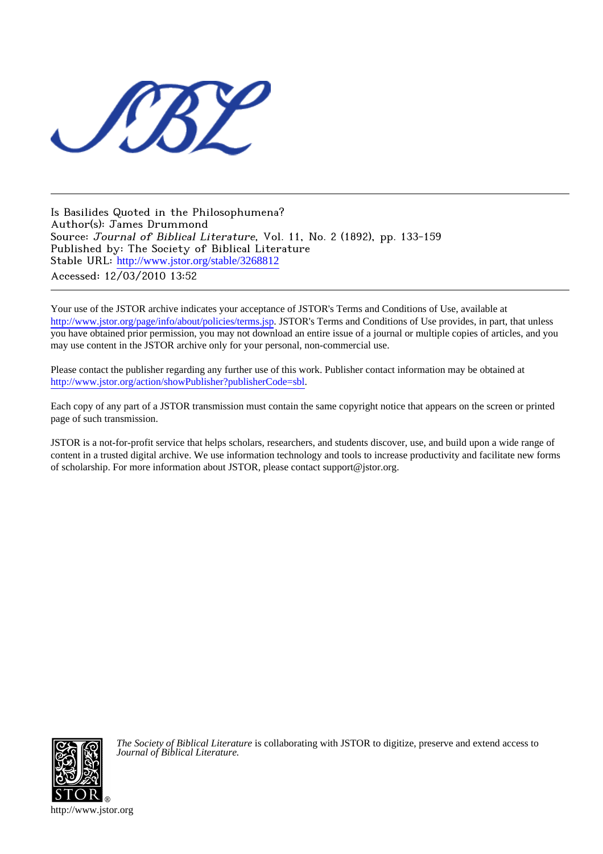

Is Basilides Quoted in the Philosophumena? Author(s): James Drummond Source: Journal of Biblical Literature, Vol. 11, No. 2 (1892), pp. 133-159 Published by: The Society of Biblical Literature Stable URL: [http://www.jstor.org/stable/3268812](http://www.jstor.org/stable/3268812?origin=JSTOR-pdf) Accessed: 12/03/2010 13:52

Your use of the JSTOR archive indicates your acceptance of JSTOR's Terms and Conditions of Use, available at <http://www.jstor.org/page/info/about/policies/terms.jsp>. JSTOR's Terms and Conditions of Use provides, in part, that unless you have obtained prior permission, you may not download an entire issue of a journal or multiple copies of articles, and you may use content in the JSTOR archive only for your personal, non-commercial use.

Please contact the publisher regarding any further use of this work. Publisher contact information may be obtained at [http://www.jstor.org/action/showPublisher?publisherCode=sbl.](http://www.jstor.org/action/showPublisher?publisherCode=sbl)

Each copy of any part of a JSTOR transmission must contain the same copyright notice that appears on the screen or printed page of such transmission.

JSTOR is a not-for-profit service that helps scholars, researchers, and students discover, use, and build upon a wide range of content in a trusted digital archive. We use information technology and tools to increase productivity and facilitate new forms of scholarship. For more information about JSTOR, please contact support@jstor.org.



*The Society of Biblical Literature* is collaborating with JSTOR to digitize, preserve and extend access to *Journal of Biblical Literature.*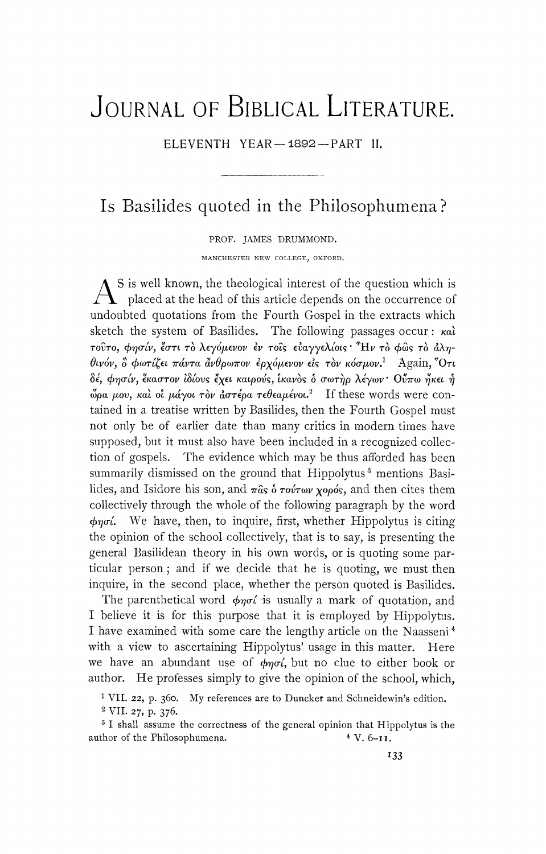## **JOURNAL OF BIBLICAL LITERATURE.**

**ELEVENTH YEAR-1892-PART II.** 

## **Is Basilides quoted in the Philosophumena?**

**PROF. JAMES DRUMMOND.** 

**MANCHESTER NEW COLLEGE, OXFORD.** 

**AS is well known, the theological interest of the question which is**   $\bm{\mathcal{A}}$  placed at the head of this article depends on the occurrence of **undoubted quotations from the Fourth Gospel in the extracts which**  sketch the system of Basilides. The following passages occur:  $\kappa a \lambda$  $\tau$ ούτο, φησίν, έστι τὸ λεγόμενον ἐν τοις εὐαγγελίοις <sup>•</sup> Ήν τὸ φῶς τὸ ἀλη- $\theta$ ινόν, δ φωτίζει πάντα ἄνθρωπον ερχόμενον είς τὸν κόσμον.<sup>1</sup> Again, Ότι δέ, φησίν, έκαστον ίδίους έχει καιρούς, ίκανὸς ὁ σωτὴρ λέγων· Οὖπω ἦκει ἡ  $\phi$ <sup>*δρα μου, καλ οί μάγοι τον αστέρα τεθεαμένοι.*<sup>2</sup> If these words were con-</sup> **tained in a treatise written by Basilides, then the Fourth Gospel must not only be of earlier date than many critics in modern times have supposed, but it must also have been included in a recognized collection of gospels. The evidence which may be thus afforded has been**  summarily dismissed on the ground that Hippolytus<sup>3</sup> mentions Basilides, and Isidore his son, and  $\pi a s$   $\delta \tau o \nu \nu \chi o \rho o s$ , and then cites them **collectively through the whole of the following paragraph by the word**   $\phi_{\eta}\sigma'$ . We have, then, to inquire, first, whether Hippolytus is citing **the opinion of the school collectively, that is to say, is presenting the general Basilidean theory in his own words, or is quoting some particular person; and if we decide that he is quoting, we must then inquire, in the second place, whether the person quoted is Basilides.** 

The parenthetical word  $\phi_{\eta}\sigma'$  is usually a mark of quotation, and **I believe it is for this purpose that it is employed by Hippolytus. I have examined with some care the lengthy article on the Naasseni4 with a view to ascertaining Hippolytus' usage in this matter. Here**  we have an abundant use of  $\phi_{\eta}\sigma'$ , but no clue to either book or **author. He professes simply to give the opinion of the school, which,** 

**1 VII. 22, p. 360. My references are to Duncker and Schneidewin's edition.** 

**<sup>2</sup>VII. 27, p. 376.** 

<sup>3</sup> I shall assume the correctness of the general opinion that Hippolytus is the thor of the Philosophumena.  $4 \text{ V. } 6-11$ . author of the Philosophumena.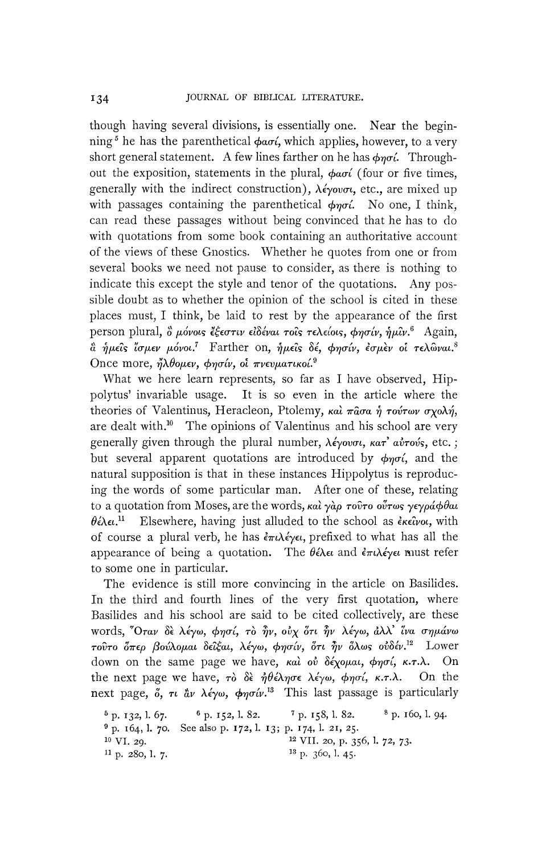**though having several divisions, is essentially one. Near the begin**ning<sup>5</sup> he has the parenthetical  $\phi \alpha \sigma'$ , which applies, however, to a very short general statement. A few lines farther on he has  $\phi_{\eta}\sigma'$ . Throughout the exposition, statements in the plural,  $\phi a \sigma i$  (four or five times, **generally with the indirect construction), λέγουσι, etc., are mixed up** with passages containing the parenthetical  $\phi_{\eta\sigma}t$ . No one, I think, **can read these passages without being convinced that he has to do with quotations from some book containing an authoritative account of the views of these Gnostics. Whether he quotes from one or from several books we need not pause to consider, as there is nothing to indicate this except the style and tenor of the quotations. Any possible doubt as to whether the opinion of the school is cited in these places must, I think, be laid to rest by the appearance of the first person plural, ὃ μόνοις ἐξεστιν εἰδέναι τοίς τελείοις, φησίν, ήμίν.<sup>6</sup> Again,**  $\hat{\alpha}$  ήμεις ίσμεν μόνοι.<sup>7</sup> Farther on, ήμεις δέ, φησίν, έσμεν οι τελώναι.<sup>8</sup> Once more,  $\eta \lambda \theta$ ομεν, φησίν, οι πνευματικοί.<sup>9</sup>

**What we here learn represents, so far as I have observed, Hippolytus' invariable usage. It is so even in the article where the theories of Valentinus, Heracleon, Ptolemy, καὶ πασα ή τούτων σχολή, are dealt with."? The opinions of Valentinus and his school are very generally given through the plural number, λέγουσι, κατ' αὐτούς, etc.;** but several apparent quotations are introduced by  $\phi_{\eta\sigma}$ , and the **natural supposition is that in these instances Hippolytus is reproducing the words of some particular man. After one of these, relating**  to a quotation from Moses, are the words, καὶ γὰρ τοῦτο οὖτως γεγράφθαι  $\theta \in \Lambda \in \mathbb{R}^1$  Elsewhere, having just alluded to the school as  $\epsilon \in \mathbb{R}^1$  with of course a plural verb, he has  $\epsilon \pi \mu \lambda \epsilon \gamma \epsilon \nu$ , prefixed to what has all the appearance of being a quotation. The  $\theta \in \mathcal{A}$  and  $\hat{\epsilon} \neq \mathcal{A}$  and  $\hat{\epsilon} \neq \mathcal{A}$  must refer **to some one in particular.** 

**The evidence is still more convincing in the article on Basilides. In the third and fourth lines of the very first quotation, where Basilides and his school are said to be cited collectively, are these words, "Όταν δὲ λέγω, φησί, τὸ ἦν, οὐχ ὅτι ἦν λέγω, ἀλλ' ἶνα σημάνω ro** *τ*o *τ*<sub>ο</sub> *τ*<sub>ο</sub> *τ*<sub>ο</sub> *τ*<sub>ο</sub> *τ*<sub>ο</sub> *τ*<sub>ο</sub> *τ*<sub>ο</sub> *τ*<sub>ο</sub> *τ*<sub>ο</sub> *τ*<sub>ο</sub> *τ*<sub>ο</sub> *τ*<sub>ο</sub> *τ*<sub>ο</sub> *τ*<sub>ο</sub> *τ*<sub>ο</sub> *τ*<sub>ο</sub> *τ*<sub>ο</sub> *τ*<sub>ο</sub> *τ*<sub>ο</sub> *τ*<sub>ο</sub> *τ*<sub>ο</sub> *τ*<sub>ο</sub> *τ*<sub>ο</sub> *τ*<sub>ο</sub> *τ*<sub>ο</sub> *τ*<sub>ο</sub> *τ*<sub>ο</sub> *τ*<sub>ο</sub> *τ*<sub>ο</sub> *τ*<sub>ο</sub> **down** on the same page we have, και ου δέχομαι, φησί, κ.τ.λ. the next page we have,  $\tau \delta$   $\delta \epsilon$   $\eta \theta \epsilon \lambda \eta \sigma \epsilon$   $\lambda \epsilon \gamma \omega$ ,  $\phi \eta \sigma \theta$ ,  $\kappa \tau \lambda$ . On the next page,  $\delta$ ,  $\tau \iota$   $\partial \iota v$   $\lambda \iota \gamma \omega$ ,  $\phi \eta \sigma \iota \iota^{13}$  This last passage is particularly

**5 p. 132, 1. 67. 6 p. 152, 1. 82. 7 p. 158, 1. 82. 8 p. 60o, 1. 94. 9 p. 164, 1. 70. See also p. I72, 1. I3; p. I74, 1. 2, 25. 10 VI. 29. 12 VII. 20, p. 356, 1. 72, 73.**  <sup>11</sup> p. 280, l. 7. **. 360, 1. 45.** 

**134**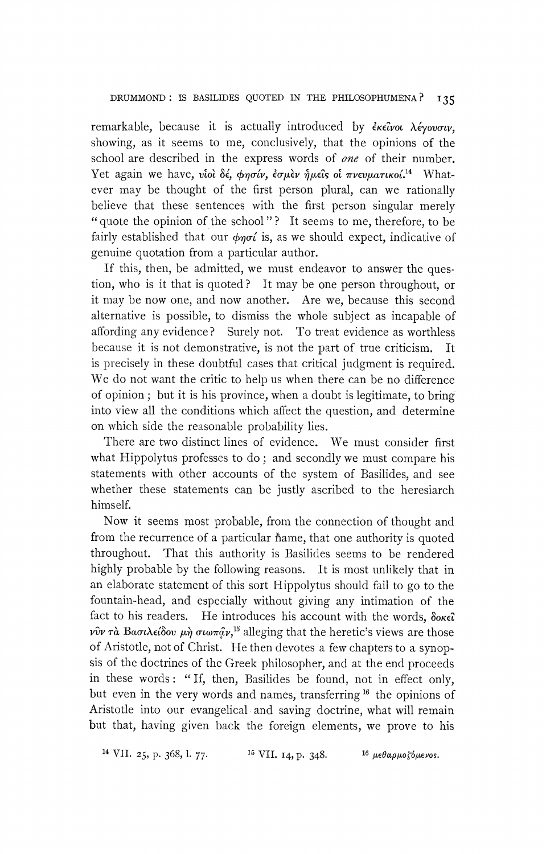## **DRUMMOND: IS BASILIDES QUOTED IN THE PHILOSOPHUMENA? 135**

**remarkable, because it is actually introduced by** *εκείνοι λέγουσιν***, showing, as it seems to me, conclusively, that the opinions of the school are described in the express words of one of their number.**  Yet again we have, *νίοι δέ, φησίν, έσμεν ήμεις οι πνευματικοί*.<sup>14</sup> What**ever may be thought of the first person plural, can we rationally believe that these sentences with the first person singular merely "quote the opinion of the school "? It seems to me, therefore, to be**  fairly established that our  $\phi_{\eta\sigma\ell}$  is, as we should expect, indicative of **genuine quotation from a particular author.** 

**If this, then, be admitted, we must endeavor to answer the question, who is it that is quoted? It may be one person throughout, or it may be now one, and now another. Are we, because this second alternative is possible, to dismiss the whole subject as incapable of affording any evidence ? Surely not. To treat evidence as worthless because it is not demonstrative, is not the part of true criticism. It is precisely in these doubtful cases that critical judgment is required. We do not want the critic to help us when there can be no difference of opinion; but it is his province, when a doubt is legitimate, to bring into view all the conditions which affect the question, and determine on which side the reasonable probability lies.** 

**There are two distinct lines of evidence. We must consider first what Hippolytus professes to do; and secondly we must compare his statements with other accounts of the system of Basilides, and see whether these statements can be justly ascribed to the heresiarch himself.** 

**Now it seems most probable, from the connection of thought and from the recurrence of a particular hame, that one authority is quoted throughout. That this authority is Basilides seems to be rendered highly probable by the following reasons. It is most unlikely that in an elaborate statement of this sort Hippolytus should fail to go to the fountain-head, and especially without giving any intimation of the fact to his readers.** He introduces his account with the words, δοκεί  $\nu \hat{v}$   $\vec{v}$   $\vec{a}$   $B$  and  $\lambda \epsilon \hat{\omega}$   $\omega \mu \hat{\eta}$   $\sigma \iota \omega \pi \hat{\omega} \nu$ ,<sup>15</sup> alleging that the heretic's views are those **of Aristotle, not of Christ. He then devotes a few chapters to a synopsis of the doctrines of the Greek philosopher, and at the end proceeds in these words: "If, then, Basilides be found, not in effect only, but even in the very words and names, transferring <sup>6</sup>the opinions of Aristotle into our evangelical and saving doctrine, what will remain but that, having given back the foreign elements, we prove to his** 

<sup>14</sup> VII. 25, p. 368, l. 77. <sup>15</sup> VII. 14, p. 348. <sup>16</sup> μεθαρμοζόμενος.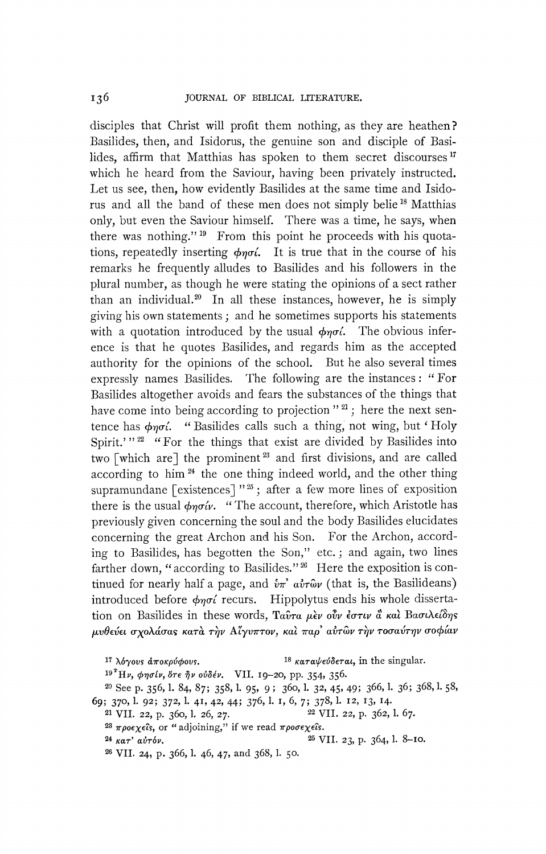**disciples that Christ will profit them nothing, as they are heathen? Basilides, then, and Isidorus, the genuine son and disciple of Basi**lides, affirm that Matthias has spoken to them secret discourses<sup>17</sup> **which he heard from the Saviour, having been privately instructed. Let us see, then, how evidently Basilides at the same time and Isidorus and all the band of these men does not simply belie18 Matthias only, but even the Saviour himself. There was a time, he says, when**  there was nothing."<sup>19</sup> From this point he proceeds with his quotations, repeatedly inserting  $\phi_{\eta}\sigma'$ . It is true that in the course of his **remarks he frequently alludes to Basilides and his followers in the plural number, as though he were stating the opinions of a sect rather than an individual.20 In all these instances, however, he is simply giving his own statements; and he sometimes supports his statements**  with a quotation introduced by the usual  $\phi_{\eta}\sigma\ell$ . The obvious infer**ence is that he quotes Basilides, and regards him as the accepted authority for the opinions of the school. But he also several times expressly names Basilides. The following are the instances: "For Basilides altogether avoids and fears the substances of the things that**  have come into being according to projection "<sup>21</sup>; here the next sentence has  $\phi_{\eta\sigma}$ . " Basilides calls such a thing, not wing, but 'Holy Spirit.'"<sup>22</sup> "For the things that exist are divided by Basilides into two [which are] the prominent<sup>23</sup> and first divisions, and are called **according to him 24 the one thing indeed world, and the other thing supramundane [existences] "25; after a few more lines of exposition**  there is the usual  $\phi\eta\sigma\acute{u}$ . " The account, therefore, which Aristotle has **previously given concerning the soul and the body Basilides elucidates concerning the great Archon and his Son. For the Archon, according to Basilides, has begotten the Son," etc.; and again, two lines farther down, "according to Basilides." 26 Here the exposition is continued for nearly half a page, and**  $\hat{v}\pi$  $\alpha\hat{v}\pi\hat{\omega}\nu$  **(that is, the Basilideans)** introduced before  $\phi_{\eta\sigma\ell}$  recurs. Hippolytus ends his whole disserta**tion on Basilides in these words, Ταῦτα μὲν οὖν ἐστιν ἂ καὶ Βασιλείδης**  $\mu v \theta$ εύει σχολάσας κατά την Αίγυπτον, καί παρ' αύτων την τοσαύτην σοφίαν

| <sup>17</sup> λόγους άποκρύφους. | <sup>18</sup> καταψεύδεται, in the singular.                                  |
|----------------------------------|-------------------------------------------------------------------------------|
|                                  | <sup>19</sup> <sup>3</sup> Ην, φησίν, ότε ήν ούδέν. VII. 19-20, pp. 354, 356. |

**20 See p. 356, 1. 84, 87; 358, 1. 95, 9; 36o, 1. 32, 45, 49; 366, 1. 36; 368,1. 58,** 

- **69; 370, 1. 92; 372, 1. 41, 42, 44; 376, 1. I, 6, 7; 378, 1. I2, 13, I4.** 
	- **21 VII. 22, p. 360, 1. 26, 27. <sup>22</sup>VII. 22, p. 362, 1. 67.**
	- <sup>28</sup>  $προεχει$ s, or "adjoining," if we read  $προσεχει$ s. <sup>24</sup>  $κατ$  αὐτόν. <sup>25</sup> V
		- **24 Kar' a6r6v. 25 VII. 23, p. 364, 1. 8-1o.**
	- **26 VII. 24, p. 366, 1. 46, 47, and 368, 1. 50.**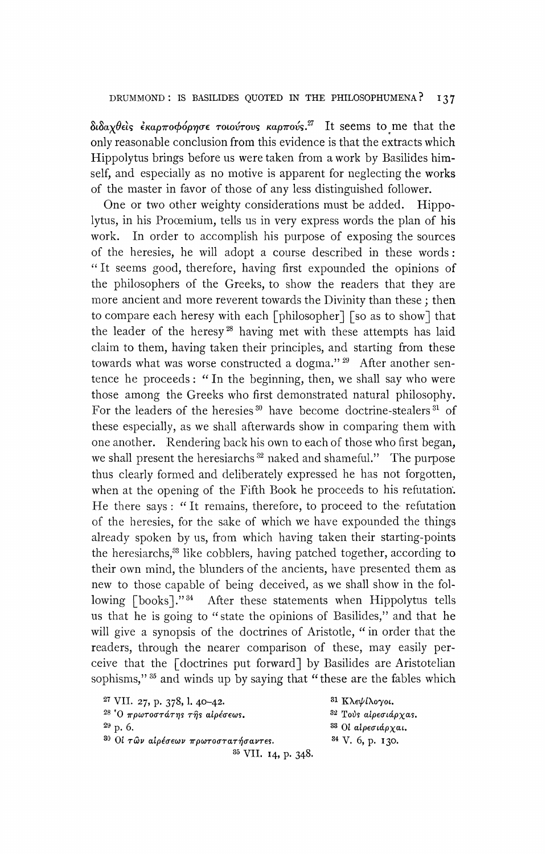**διδαχθείς** *εκαρποφόρησε τοιούτους καρπούς.<sup>27</sup> It seems to me that the* **only reasonable conclusion from this evidence is that the extracts which Hippolytus brings before us were taken from a work by Basilides himself, and especially as no motive is apparent for neglecting the works of the master in favor of those of any less distinguished follower.** 

**One or two other weighty considerations must be added. Hippolytus, in his Procemium, tells us in very express words the plan of his work. In order to accomplish his purpose of exposing the sources of the heresies, he will adopt a course described in these words: "It seems good, therefore, having first expounded the opinions of the philosophers of the Greeks, to show the readers that they are more ancient and more reverent towards the Divinity than these; then to compare each heresy with each [philosopher] [so as to show] that**  the leader of the heresy<sup>28</sup> having met with these attempts has laid **claim to them, having taken their principles, and starting from these towards what was worse constructed a dogma." 29 After another sentence he proceeds: " In the beginning, then, we shall say who were those among the Greeks who first demonstrated natural philosophy.**  For the leaders of the heresies<sup>30</sup> have become doctrine-stealers<sup>31</sup> of **these especially, as we shall afterwards show in comparing them with one another. Rendering back his own to each of those who first began, we shall present the heresiarchs 32 naked and shameful." The purpose thus clearly formed and deliberately expressed he has not forgotten, when at the opening of the Fifth Book he proceeds to his refutation. He there says: " It remains, therefore, to proceed to the. refutation of the heresies, for the sake of which we have expounded the things already spoken by us, from which having taken their starting-points the heresiarchs,33 like cobblers, having patched together, according to their own mind, the blunders of the ancients, have presented them as**  new to those capable of being deceived, as we shall show in the fol-<br>lowing [books]."<sup>34</sup> After these statements when Hippolytus tells **lowing [books]."34 After these statements when Hippolytus tells us that he is going to "state the opinions of Basilides," and that he will give a synopsis of the doctrines of Aristotle, "in order that the readers, through the nearer comparison of these, may easily perceive that the [doctrines put forward] by Basilides are Aristotelian sophisms," 35 and winds up by saying that "these are the fables which** 

| <sup>27</sup> VII. 27, p. 378, l. 40-42.        | <sup>31</sup> Κλεψίλογοι.     |
|-------------------------------------------------|-------------------------------|
| <sup>28</sup> 'Ο πρωτοστάτης της αιρέσεως.      | $32$ Tovs αίρεσιάρχας.        |
| $29$ p. 6.                                      | <sup>33</sup> Οι αιρεσιάρχαι. |
| <sup>30</sup> Οί των αίρέσεων πρωτοστατήσαντες. | <sup>34</sup> V. 6, p. 130.   |
| <sup>35</sup> VII. 14, p. 348.                  |                               |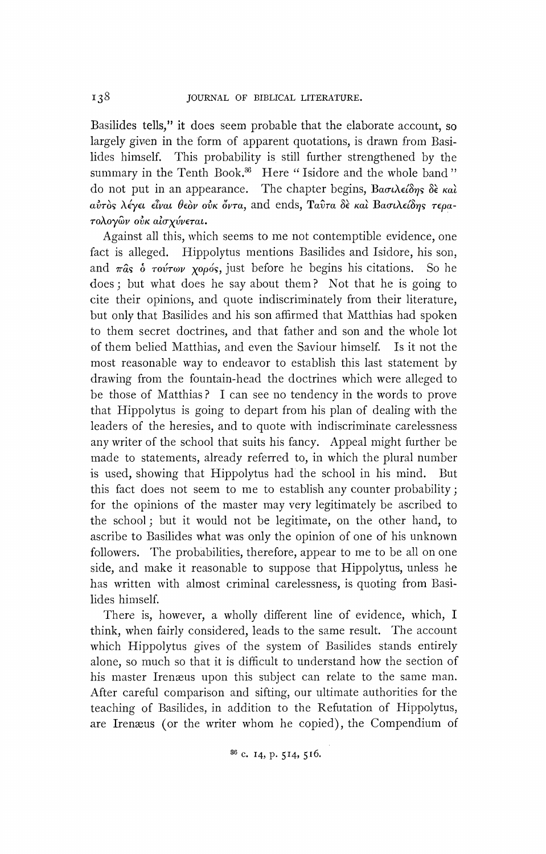**Basilides tells," it does seem probable that the elaborate account, so largely given in the form of apparent quotations, is drawn fiom Basilides himself. This probability is still further strengthened by the**  summary in the Tenth Book.<sup>36</sup> Here "Isidore and the whole band" **do not put in an appearance.** The chapter begins, **Βασιλείδης** δε καλ avτός λέγει είναι θεόν ούκ όντα, and ends, Ταύτα δε και Βασιλείδης τερα- $\tau$ ολογών ούκ αίσχύνεται.

**Against all this, which seems to me not contemptible evidence, one fact is alleged. Hippolytus mentions Basilides and Isidore, his son,**  and  $\pi \hat{a} s$   $\delta \tau \circ \hat{v} \tau \circ \hat{v} \gamma$  yopós, just before he begins his citations. So he **does; but what does he say about them? Not that he is going to cite their opinions, and quote indiscriminately from their literature, but only that Basilides and his son affirmed that Matthias had spoken to them secret doctrines, and that father and son and the whole lot of them belied Matthias, and even the Saviour himself. Is it not the most reasonable way to endeavor to establish this last statement by drawing from the fountain-head the doctrines which were alleged to be those of Matthias ? I can see no tendency in the words to prove that Hippolytus is going to depart from his plan of dealing with the leaders of the heresies, and to quote with indiscriminate carelessness any writer of the school that suits his fancy. Appeal might further be**  made to statements, already referred to, in which the plural number is used, showing that Hippolytus had the school in his mind. But is used, showing that Hippolytus had the school in his mind. **this fact does not seem to me to establish any counter probability; for the opinions of the master may very legitimately be ascribed to the school; but it would not be legitimate, on the other hand, to ascribe to Basilides what was only the opinion of one of his unknown followers. The probabilities, therefore, appear to me to be all on one side, and make it reasonable to suppose that Hippolytus, unless he has written with almost criminal carelessness, is quoting from Basilides himself.** 

**There is, however, a wholly different line of evidence, which, I think, when fairly considered, leads to the same result. The account which Hippolytus gives of the system of Basilides stands entirely alone, so much so that it is difficult to understand how the section of his master Irenaeus upon this subject can relate to the same man. After careful comparison and sifting, our ultimate authorities for the teaching of Basilides, in addition to the Refutation of Hippolytus,**  are Irenæus (or the writer whom he copied), the Compendium of

**36 c. 14, p. 514, 516.**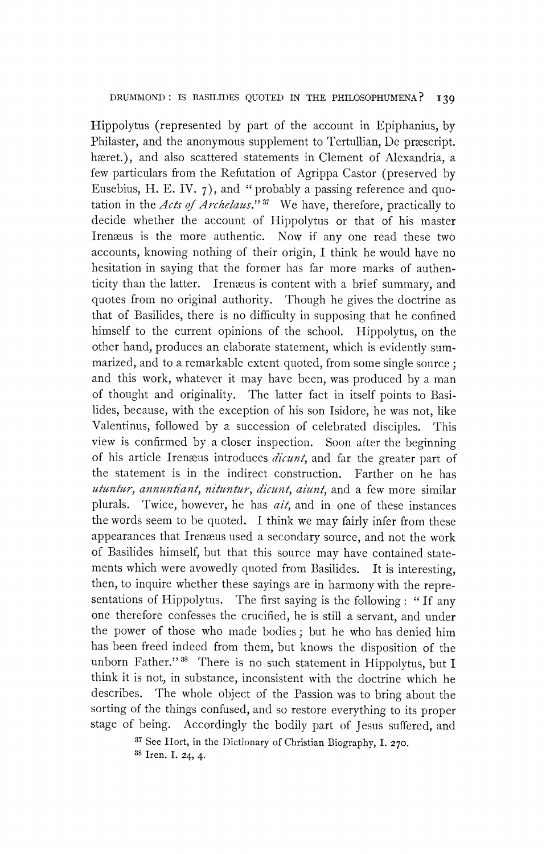**Hippolytus (represented by part of the account in Epiphanius, by**  Philaster, and the anonymous supplement to Tertullian, De præscript. **haeret.), and also scattered statements in Clement of Alexandria, a few particulars from the Refutation of Agrippa Castor (preserved by Eusebius, H. E. IV. 7), and "probably a passing reference and quotation in the Acts of Archelaus." 37 We have, therefore, practically to decide whether the account of Hippolytus or that of his master Irenaeus is the more authentic. Now if any one read these two accounts, knowing nothing of their origin, I think he would have no hesitation in saying that the former has far more marks of authen**ticity than the latter. Irenæus is content with a brief summary, and **quotes from no original authority. Though he gives the doctrine as that of Basilides, there is no difficulty in supposing that he confined himself to the current opinions of the school. Hippolytus, on the other hand, produces an elaborate statement, which is evidently summarized, and to a remarkable extent quoted, from some single source; and this work, whatever it may have been, was produced by a man of thought and originality. The latter fact in itself points to Basilides, because, with the exception of his son Isidore, he was not, like Valentinus, followed by a succession of celebrated disciples. This view is confirmed by a closer inspection. Soon after the beginning**  of his article Irenæus introduces *dicunt*, and far the greater part of **the statement is in the indirect construction. Farther on he has**  utuntur, annuntiant, nituntur, dicunt, aiunt, and a few more similar **plurals. Twice, however, he has ait, and in one of these instances the words seem to be quoted. I think we may fairly infer from these appearances that Irenaeus used a secondary source, and not the work of Basilides himself, but that this source may have contained statements which were avowedly quoted from Basilides. It is interesting, then, to inquire whether these sayings are in harmony with the representations of Hippolytus. The first saying is the following: " If any one therefore confesses the crucified, he is still a servant, and under the power of those who made bodies; but he who has denied him has been freed indeed from them, but knows the disposition of the unborn Father." 38 There is no such statement in Hippolytus, but I think it is not, in substance, inconsistent with the doctrine which he describes. The whole object of the Passion was to bring about the sorting of the things confused, and so restore everything to its proper stage of being. Accordingly the bodily part of Jesus suffered, and** 

> **37 See Hort, in the Dictionary of Christian Biography, I. 270. 38 Iren. I. 24, 4.**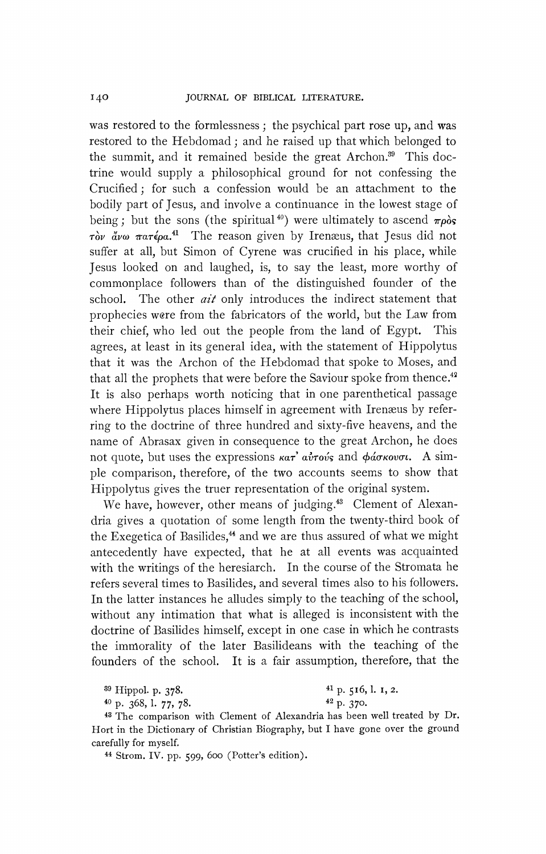**was restored to the formlessness; the psychical part rose up, and was restored to the Hebdomad; and he raised up that which belonged to the summit, and it remained beside the great Archon.39 This doctrine would supply a philosophical ground for not confessing the Crucified; for such a confession would be an attachment to the bodily part of Jesus, and involve a continuance in the lowest stage of**  being; but the sons (the spiritual<sup>40</sup>) were ultimately to ascend  $\pi \rho \dot{\sigma} s$  $\tau \partial v$   $\partial \nu \partial \phi$   $\tau \partial \tau \partial \phi$ .<sup>41</sup> The reason given by Irenzeus, that Jesus did not **suffer at all, but Simon of Cyrene was crucified in his place, while Jesus looked on and laughed, is, to say the least, more worthy of commonplace followers than of the distinguished founder of the school. The other ait only introduces the indirect statement that prophecies were from the fabricators of the world, but the Law from their chief, who led out the people from the land of Egypt. This agrees, at least in its general idea, with the statement of Hippolytus that it was the Archon of the Hebdomad that spoke to Moses, and that all the prophets that were before the Saviour spoke from thence.42 It is also perhaps worth noticing that in one parenthetical passage**  where Hippolytus places himself in agreement with Irenæus by refer**ring to the doctrine of three hundred and sixty-five heavens, and the name of Abrasax given in consequence to the great Archon, he does not quote, but uses the expressions κατ' αύτούς and φάσκουσι. A simple comparison, therefore, of the two accounts seems to show that Hippolytus gives the truer representation of the original system.** 

We have, however, other means of judging.<sup>43</sup> Clement of Alexan**dria gives a quotation of some length from the twenty-third book of the Exegetica of Basilides,44 and we are thus assured of what we might antecedently have expected, that he at all events was acquainted with the writings of the heresiarch. In the course of the Stromata he refers several times to Basilides, and several times also to his followers. In the latter instances he alludes simply to the teaching of the school, without any intimation that what is alleged is inconsistent with the doctrine of Basilides himself, except in one case in which he contrasts the immorality of the later Basilideans with the teaching of the founders of the school. It is a fair assumption, therefore, that the** 

**40 p. 368,1. 77, 78. 42 p. 370.** 

**39 Hippol. p. 378. 41 p. 516, 1. I, 2.** 

**<sup>43</sup>The comparison with Clement of Alexandria has been well treated by Dr. Hort in the Dictionary of Christian Biography, but I have gone over the ground carefully for myself.** 

**44 Strom. IV. pp. 599, 6oo (Potter's edition).**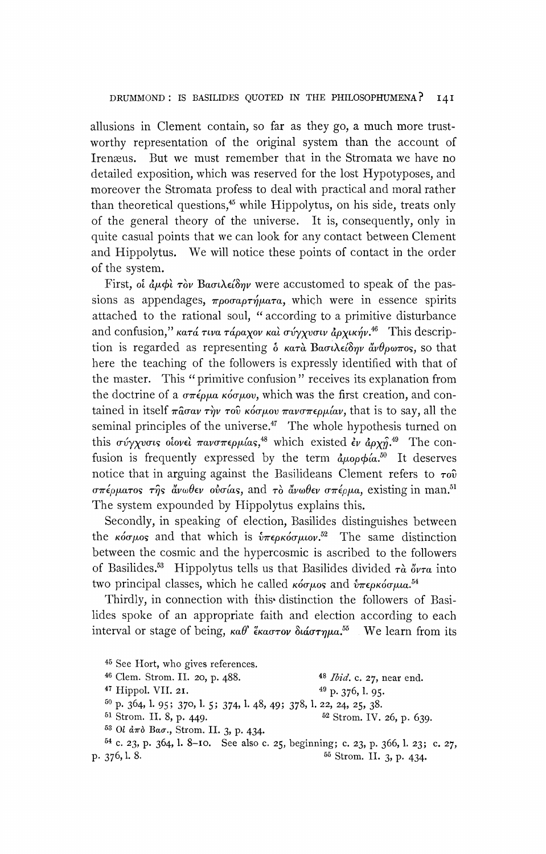**allusions in Clement contain, so far as they go, a much more trustworthy representation of the original system than the account of Irenaeus. But we must remember that in the Stromata we have no detailed exposition, which was reserved for the lost Hypotyposes, and moreover the Stromata profess to deal with practical and moral rather than theoretical questions,45 while Hippolytus, on his side, treats only of the general theory of the universe. It is, consequently, only in quite casual points that we can look for any contact between Clement and Hippolytus. We will notice these points of contact in the order of the system.** 

First, oί άμφὶ τὸν Βασιλείδην were accustomed to speak of the passions as appendages,  $\pi \rho \sigma \alpha \rho \tau \gamma \mu \alpha \tau \alpha$ , which were in essence spirits **attached to the rational soul, "according to a primitive disturbance**  and confusion," κατά τινα τάραχον καὶ σύγχυσιν ἀρχικήν.<sup>46</sup> This descrip**tion is regarded as representing**  $\delta$  $\kappa a \tau \hat{a}$  $B \alpha \tau \hat{b} \epsilon (\hat{\delta} \eta \nu \hat{\alpha} \nu \hat{\theta}) \omega \pi \sigma s$ **, so that here the teaching of the followers is expressly identified with that of the master. This "primitive confusion " receives its explanation from**  the doctrine of a  $\sigma\pi\epsilon\rho\mu a \kappa\sigma\sigma\mu o v$ , which was the first creation, and con $t$ ained in itself  $\pi \hat{a}$ *oav*  $\tau \hat{n}$ *v*  $\tau$ *ov*  $\kappa$ *bothov*  $\pi a$ *vo* $\pi \epsilon \rho \mu / a$ *v*, that is to say, all the seminal principles of the universe.<sup>47</sup> The whole hypothesis turned on this σύγχυσις οίονει πανσπερμίας,<sup>48</sup> which existed εν άρχη<sup>249</sup> The confusion is frequently expressed by the term  $\partial \mu_{\alpha} \rho \phi / \partial \alpha$ .<sup>50</sup> It deserves notice that in arguing against the Basilideans Clement refers to  $\tau o\hat{v}$ **-(r7rEplaTro TrS avWoOev ovo-las, and ro avwOev o-t7rErpa, existing in man.51 The system expounded by Hippolytus explains this.** 

**Secondly, in speaking of election, Basilides distinguishes between**  the  $\kappa \omega \sigma \mu \omega s$  and that which is  $\omega \tau \epsilon \omega \kappa \omega \omega$ .<sup>52</sup> The same distinction **between the cosmic and the hypercosmic is ascribed to the followers**  of Basilides.<sup>53</sup> Hippolytus tells us that Basilides divided  $\tau \hat{a}$  ov $\tau \alpha$  into **two principal classes, which he called κόσμος and**  $\delta \pi \epsilon \rho$ **κόσμια.<sup>54</sup>** 

**Thirdly, in connection with this, distinction the followers of Basilides spoke of an appropriate faith and election according to each**  interval or stage of being,  $\kappa a \theta$ <sup>3</sup>  $\kappa a \sigma \tau o \nu$   $\delta \iota a \sigma \tau \eta \mu a$ <sup>55</sup>. We learn from its

| <sup>45</sup> See Hort, who gives references.                                   |                                                                                         |  |
|---------------------------------------------------------------------------------|-----------------------------------------------------------------------------------------|--|
| <sup>46</sup> Clem. Strom. II. 20, p. 488.                                      | $48$ <i>Ibid.</i> c. 27, near end.                                                      |  |
| 47 Hippol. VII. 21.                                                             | $49$ p. 376, l. 95.                                                                     |  |
| <sup>50</sup> p. 364, l. 95; 370, l. 5; 374, l. 48, 49; 378, l. 22, 24, 25, 38. |                                                                                         |  |
| $51$ Strom. II. 8, p. 449.                                                      | $52$ Strom. IV. 26, p. 639.                                                             |  |
| <sup>53</sup> Οί άπό Βασ., Strom. II. 3, p. 434.                                |                                                                                         |  |
|                                                                                 | $^{54}$ c. 23, p. 364, l. 8–10. See also c. 25, beginning; c. 23, p. 366, l. 23; c. 27, |  |
| p. 376, l. 8.                                                                   | 55 Strom. II. 3, p. 434.                                                                |  |
|                                                                                 |                                                                                         |  |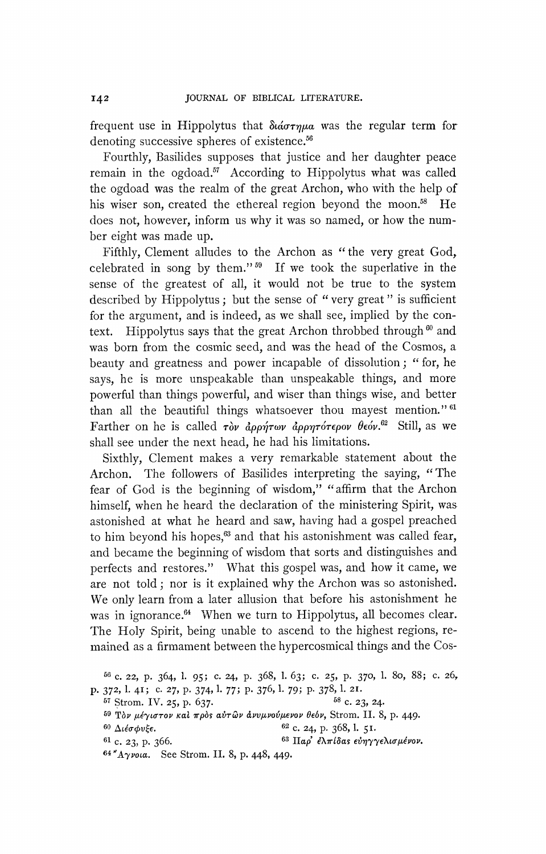**frequent use in Hippolytus that**  $\delta u \hat{\sigma} \tau \eta \mu a$  **was the regular term for denoting successive spheres of existence.56** 

**Fourthly, Basilides supposes that justice and her daughter peace remain in the ogdoad.57 According to Hippolytus what was called the ogdoad was the realm of the great Archon, who with the help of his wiser son, created the ethereal region beyond the moon.58 He does not, however, inform us why it was so named, or how the number eight was made up.** 

**Fifthly, Clement alludes to the Archon as " the very great God, celebrated in song by them." 9 If we took the superlative in the sense of the greatest of all, it would not be true to the system described by Hippolytus; but the sense of "very great" is sufficient for the argument, and is indeed, as we shall see, implied by the con**text. Hippolytus says that the great Archon throbbed through  $60$  and **was born from the cosmic seed, and was the head of the Cosmos, a beauty and greatness and power incapable of dissolution; "for, he says, he is more unspeakable than unspeakable things, and more powerfil than things powerful, and wiser than things wise, and better**  than all the beautiful things whatsoever thou mayest mention."<sup>61</sup> **Farther on he is called**  $\tau \partial v$  $\partial \rho \partial \eta \tau \partial v$  $\partial \rho \partial \eta \tau \partial \tau \partial \rho \partial \nu$  $\partial \theta \partial \nu$ **.<sup>62</sup> Still, as we shall see under the next head, he had his limitations.** 

**Sixthly, Clement makes a very remarkable statement about the Archon. The followers of Basilides interpreting the saying, "The fear of God is the beginning of wisdom," "affirm that the Archon himself, when he heard the declaration of the ministering Spirit, was astonished at what he heard and saw, having had a gospel preached**  to him beyond his hopes,<sup>63</sup> and that his astonishment was called fear, **and became the beginning of wisdom that sorts and distinguishes and perfects and restores." What this gospel was, and how it came, we are not told; nor is it explained why the Archon was so astonished. We only learn from a later allusion that before his astonishment he**  was in ignorance.<sup>64</sup> When we turn to Hippolytus, all becomes clear. **The Holy Spirit, being unable to ascend to the highest regions, remained as a firmament between the hypercosmical things and the Cos-**

**<sup>56</sup>c. 22, p. 364, 1. 95; c. 24, p. 368, 1. 63; c. 25, p. 370, 1. 80, 88; c. 26, p. 372, 1. 4; c. 27, p. 374, 1 77; p. 376, 1. 79; p. 378,1. 21.**   $57$  Strom. IV. 25, p. 637. <sup>59</sup> Τον μέγιστον και προς αύτων ανυμνούμενον θεόν, Strom. II. 8, p. 449.<br><sup>60</sup> Διέσφυξε. *69* c. 24, p. 368, l. 51. **<sup>60</sup> Διέσφυξε.**<br>
<sup>61</sup> c. 23, p. 366. **62 63** Παρ' έλπίδαs εύηγγ **61 C. 23, p. 366. 63 Ilap' eXrlaS e6irlyeXy.satvov. 64"AyvoLa. See Strom. II. 8, p. 448, 449.** 

**142**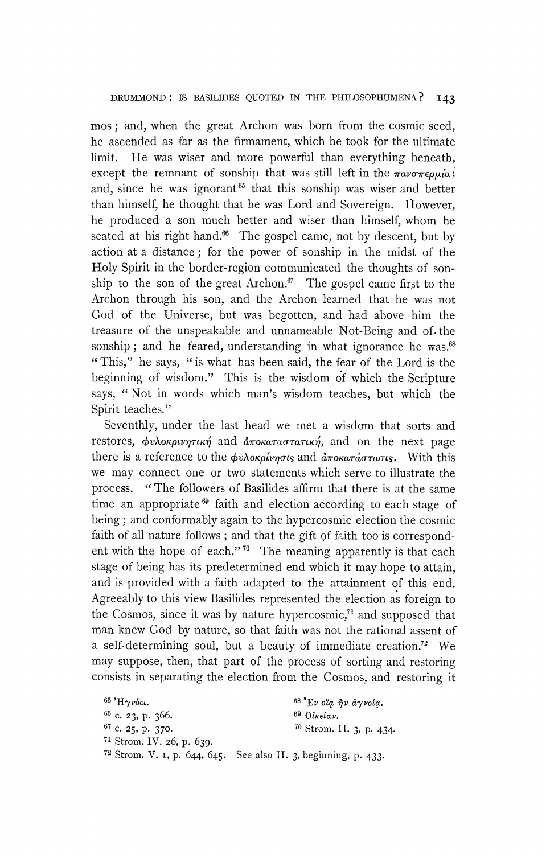**mos; and, when the great Archon was born from the cosmic seed, he ascended as far as the firmament, which he took for the ultimate limit. He was wiser and more powerful than everything beneath,**  except the remnant of sonship that was still left in the  $\pi a\nu\sigma\pi\epsilon\rho\mu a$ ; and, since he was ignorant<sup>65</sup> that this sonship was wiser and better **than himself, he thought that he was Lord and Sovereign. However, he produced a son much better and wiser than himself, whom he**  seated at his right hand.<sup>66</sup> The gospel came, not by descent, but by **action at a distance; for the power of sonship in the midst of the Holy Spirit in the border-region communicated the thoughts of son**ship to the son of the great Archon.<sup>67</sup> The gospel came first to the **Archon through his son, and the Archon learned that he was not God of the Universe, but was begotten, and had above him the treasure of the unspeakable and unnameable Not-Being and of. the**  sonship; and he feared, understanding in what ignorance he was.<sup>68</sup> **"This," he says, "is what has been said, the fear of the Lord is the beginning of wisdom." This is the wisdom of which the Scripture says, "Not in words which man's wisdom teaches, but which the Spirit teaches."** 

**Seventhly, under the last head we met a wisdom that sorts and restores, φυλοκρινητική and** *αποκαταστατική***, and on the next page there is a reference to the φυλοκρίνησις and**  $\frac{d}{dx}$ **σκατάστασις. With this we may connect one or two statements which serve to illustrate the process. " The followers of Basilides affirm that there is at the same**  time an appropriate<sup>69</sup> faith and election according to each stage of **being; and conformably again to the hypercosmic election the cosmic faith of all nature follows; and that the gift of faith too is correspondent with the hope of each."70 The meaning apparently is that each stage of being has its predetermined end which it may hope to attain, and is provided with a faith adapted to the attainment of this end. Agreeably to this view Basilides represented the election as foreign to the Cosmos, since it was by nature hypercosmic,71 and supposed that man knew God by nature, so that faith was not the rational assent of a self-determining soul, but a beauty of immediate creation.72 We may suppose, then, that part of the process of sorting and restoring consists in separating the election from the Cosmos, and restoring it** 

| <sup>65</sup> 'Ηγνόει.       | <sup>68</sup> Έν οΐα $\hat{\eta}$ ν άγνοία. |
|------------------------------|---------------------------------------------|
| $66$ c. 23, p. 366.          | $69$ $0$ ikelav.                            |
| $67$ c. 25, p. 370.          | $70$ Strom. II. 3, p. 434.                  |
| 71 Strom. IV. 26, p. 639.    |                                             |
| 72 Strom. V. I, p. 644, 645. | See also II. 3, beginning, p. 433.          |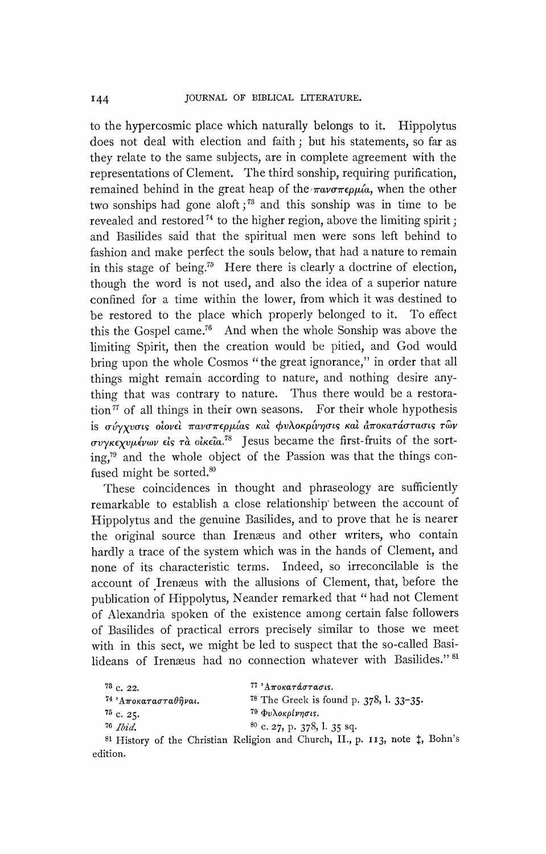**to the hypercosmic place which naturally belongs to it. Hippolytus does not deal with election and faith; but his statements, so far as they relate to the same subjects, are in complete agreement with the representations of Clement. The third sonship, requiring purification, remained behind in the great heap of the**  $\pi a\nu\sigma\pi\epsilon\rho\mu a$ **, when the other two sonships had gone aloft;73 and this sonship was in time to be revealed and restored 74 to the higher region, above the limiting spirit; and Basilides said that the spiritual men were sons left behind to fashion and make perfect the souls below, that had a nature to remain in this stage of being.75 Here there is clearly a doctrine of election, though the word is not used, and also the idea of a superior nature confined for a time within the lower, from which it was destined to be restored to the place which properly belonged to it. To effect this the Gospel came.76 And when the whole Sonship was above the limiting Spirit, then the creation would be pitied, and God would bring upon the whole Cosmos "the great ignorance," in order that all things might remain according to nature, and nothing desire anything that was contrary to nature. Thus there would be a restoration77 of all things in their own seasons. For their whole hypothesis**  is σύγχυσις οίονεί πανσπερμίας και φυλοκρίνησις και αποκατάστασις των συγκεχυμένων είς τὰ οἰκεῖα.<sup>78</sup> Jesus became the first-fruits of the sort**ing,79 and the whole object of the Passion was that the things confused might be sorted.80** 

**These coincidences in thought and phraseology are sufficiently remarkable to establish a close relationship' between the account of Hippolytus and the genuine Basilides, and to prove that he is nearer**  the original source than Irenæus and other writers, who contain **hardly a trace of the system which was in the hands of Clement, and none of its characteristic terms. Indeed, so irreconcilable is the account of Irenseus with the allusions of Clement, that, before the publication of Hippolytus, Neander remarked that "had not Clement of Alexandria spoken of the existence among certain false followers of Basilides of practical errors precisely similar to those we meet with in this sect, we might be led to suspect that the so-called Basi**lideans of Irenæus had no connection whatever with Basilides." 81

| $73$ c. 22.                | <sup>77</sup> 'Αποκατάστασις.                                                                       |
|----------------------------|-----------------------------------------------------------------------------------------------------|
| $^{74}$ 'Αποκατασταθῆναι.  | <sup>78</sup> The Greek is found p. 378, l. 33-35.                                                  |
| $^{75}$ c. 25.             | <sup>79</sup> Φυλοκρίνησις.                                                                         |
| $\frac{76 \text{ }}$ Thid. | $80$ c. 27, p. 378, l. 35 sq.                                                                       |
|                            | <sup>81</sup> History of the Christian Religion and Church, II., p. 113, note <sup>†</sup> , Bohn's |

**edition.**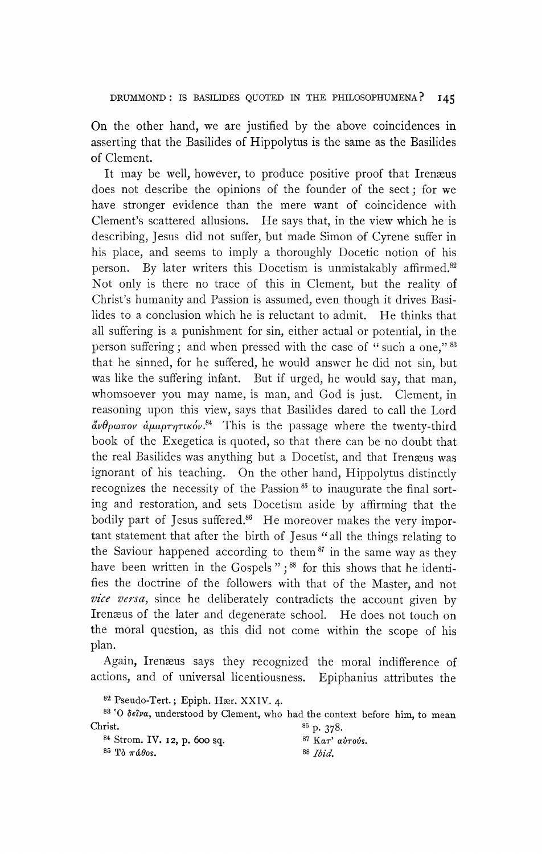**On the other hand, we are justified by the above coincidences in asserting that the Basilides of Hippolytus is the same as the Basilides of Clement.** 

It may be well, however, to produce positive proof that Irenaeus **does not describe the opinions of the founder of the sect; for we have stronger evidence than the mere want of coincidence with Clement's scattered allusions. He says that, in the view which he is describing, Jesus did not suffer, but made Simon of Cyrene suffer in his place, and seems to imply a thoroughly Docetic notion of his person. By later writers this Docetism is unmistakably affirmed.82 Not only is there no trace of this in Clement, but the reality of Christ's humanity and Passion is assumed, even though it drives Basilides to a conclusion which he is reluctant to admit. He thinks that all suffering is a punishment for sin, either actual or potential, in the person suffering; and when pressed with the case of "such a one," <sup>83</sup> that he sinned, for he suffered, he would answer he did not sin, but was like the suffering infant. But if urged, he would say, that man, whomsoever you may name, is man, and God is just. Clement, in reasoning upon this view, says that Basilides dared to call the Lord**   $\frac{\partial}{\partial y}\phi$  **a**  $\phi$  *a*  $\phi$  *a*  $\phi$  *a*  $\phi$  *a* $\phi$  *a* $\phi$  *a* $\phi$  *a* $\phi$  **<b>***a*  $\phi$  *a*  $\phi$  *a*  $\phi$  *a*  $\phi$  *a*  $\phi$  *a*  $\phi$  *a*  $\phi$  *a*  $\phi$  *a*  $\phi$  *a*  $\phi$  *a*  $\phi$  **book of the Exegetica is quoted, so that there can be no doubt that the real Basilides was anything but a Docetist, and that Irenaeus was ignorant of his teaching. On the other hand, Hippolytus distinctly**  recognizes the necessity of the Passion<sup>85</sup> to inaugurate the final sort**ing and restoration, and sets Docetism aside by affirming that the bodily part of Jesus suffered.86 He moreover makes the very important statement that after the birth of Jesus "all the things relating to**  the Saviour happened according to them<sup>87</sup> in the same way as they have been written in the Gospels";<sup>88</sup> for this shows that he identi**fies the doctrine of the followers with that of the Master, and not vice versa, since he deliberately contradicts the account given by**  Irenæus of the later and degenerate school. He does not touch on **the moral question, as this did not come within the scope of his plan.** 

**Again, Irenaeus says they recognized the moral indifference of actions, and of universal licentiousness. Epiphanius attributes the** 

<sup>82</sup> Pseudo-Tert.; Epiph. Hær. XXIV. 4.

<sup>83</sup>**'0**  $\delta \epsilon \hat{\iota}$  *va*, understood by Clement, who had the context before him, to mean Christ. **Christ. 86 p. 378.** 

| <sup>84</sup> Strom. IV. 12, p. 600 sq. |                     | $87$ Kατ' αύτούς. |
|-----------------------------------------|---------------------|-------------------|
| <sup>85</sup> Tò $\pi$ áθos.            | <sup>88</sup> Ibid. |                   |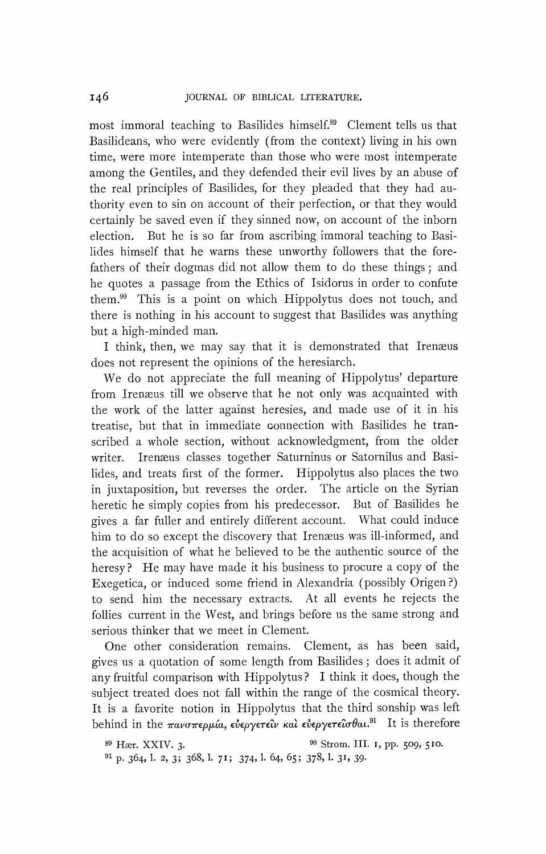**most immoral teaching to Basilides himself.89 Clement tells us that Basilideans, who were evidently (from the context) living in his own time, were more intemperate than those who were most intemperate among the Gentiles, and they defended their evil lives by an abuse of the real principles of Basilides, for they pleaded that they had authority even to sin on account of their perfection, or that they would certainly be saved even if they sinned now, on account of the inborn election. But he is so far from ascribing immoral teaching to Basilides himself that he warns these unworthy followers that the forefathers of their dogmas did not allow them to do these things; and he quotes a passage from the Ethics of Isidorus in order to confute them.90 This is a point on which Hippolytus does not touch, and there is nothing in his account to suggest that Basilides was anything but a high-minded man.** 

**I think, then, we may say that it is demonstrated that Irenaeus does not represent the opinions of the heresiarch.** 

**We do not appreciate the full meaning of Hippolytus' departure from Irenaeus till we observe that he not only was acquainted with the work of the latter against heresies, and made use of it in his treatise, but that in immediate connection with Basilides he transcribed a whole section, without acknowledgment, from the older**  writer. Irenæus classes together Saturninus or Satornilus and Basi**lides, and treats first of the former. Hippolytus also places the two in juxtaposition, but reverses the order. The article on the Syrian heretic he simply copies from his predecessor. But of Basilides he gives a far fuller and entirely different account. What could induce him to do so except the discovery that Irenseus was ill-informed, and the acquisition of what he believed to be the authentic source of the heresy? He may have made it his business to procure a copy of the Exegetica, or induced some friend in Alexandria (possibly Origen?) to send him the necessary extracts. At all events he rejects the follies current in the West, and brings before us the same strong and serious thinker that we meet in Clement.** 

**One other consideration remains. Clement, as has been said, gives us a quotation of some length from Basilides; does it admit of any fruitful comparison with Hippolytus ? I think it does, though the subject treated does not fall within the range of the cosmical theory. It is a favorite notion in Hippolytus that the third sonship was left**  behind in the *πανσπερμία*, εύεργετείν και εύεργετείσθαι.<sup>91</sup> It is therefore

**<sup>89</sup> Haer. XXIV. 3. 90 Strom. III. I, pp. 509, 510. <sup>91</sup>p. 364, 1. 2, 3; 368, 1. 71; 374, 1. 64, 65; 378, 1. 3, 39.**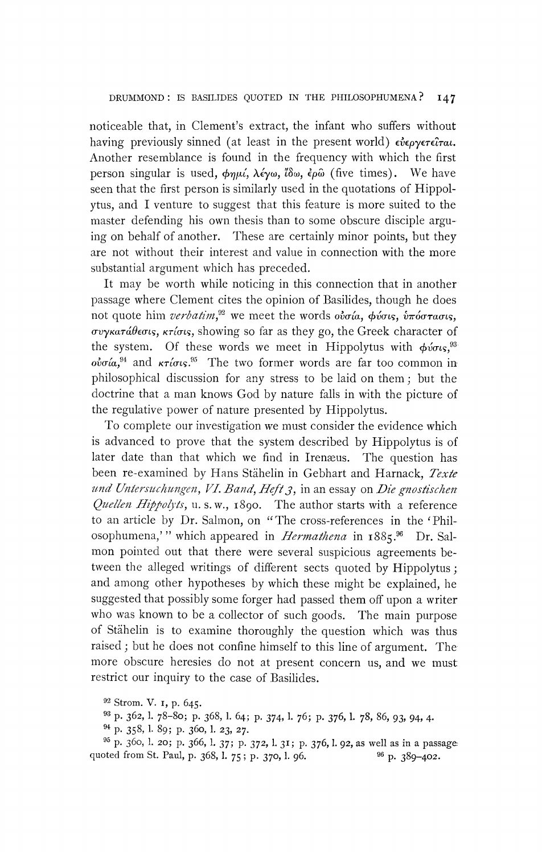## DRUMMOND: IS BASILIDES OUOTED IN THE PHILOSOPHUMENA? 147

**noticeable that, in Clement's extract, the infant who suffers without**  having previously sinned (at least in the present world)  $\epsilon \nu \epsilon \rho \gamma \epsilon \tau \epsilon \tau a t$ . **Another resemblance is found in the frequency with which the first person singular is used, φημί, λέγω, ἶδω, ἐρῶ (five times).** $We have$ **seen that the first person is similarly used in the quotations of Hippolytus, and I venture to suggest that this feature is more suited to the master defending his own thesis than to some obscure disciple arguing on behalf of another. These are certainly minor points, but they are not without their interest and value in connection with the more substantial argument which has preceded.** 

**It may be worth while noticing in this connection that in another passage where Clement cites the opinion of Basilides, though he does**  not quote him *verbatim*,<sup>92</sup> we meet the words  $\omega \sigma \omega$ ,  $\phi \omega$  is,  $\omega \tau \omega \sigma$  is, **o-vyKaTraOecrt, KTIct'c, showing so far as they go, the Greek character of**  the system. Of these words we meet in Hippolytus with  $\phi v \sigma s$ ,<sup>93</sup>  $o\nu\sigma\omega,^{94}$  and  $\kappa\tau\omega\omega$ .<sup>95</sup> The two former words are far too common in **philosophical discussion for any stress to be laid on them; but the doctrine that a man knows God by nature falls in with the picture of the regulative power of nature presented by Hippolytus.** 

**To complete our investigation we must consider the evidence which is advanced to prove that the system described by Hippolytus is of**  later date than that which we find in Irenæus. The question has **been re-examined by Hans Stahelin in Gebhart and Harnack, Texte**  und Untersuchungen, VI. Band, Heft 3, in an essay on Die gnostischen Quellen Hippolyts, u. s.w., 1890. The author starts with a reference **to an article by Dr. Salmon, on "The cross-references in the 'Philosophumena,'" which appeared in Hermathena in I885.96 Dr. Salmon pointed out that there were several suspicious agreements between the alleged writings of different sects quoted by Hippolytus; and among other hypotheses by which these might be explained, he suggested that possibly some forger had passed them off upon a writer who was known to be a collector of such goods. The main purpose of Stahelin is to examine thoroughly the question which was thus raised; but he does not confine himself to this line of argument. The more obscure heresies do not at present concern us, and we must restrict our inquiry to the case of Basilides.** 

**95 p. 360, 1. 20; p. 366, 1. 37; P. 372, 1. 31; p. 376,1. 92, as well as in a passage: quoted from St. Paul, p. 368, 1. 75; p. 370, 1. 96. <sup>96</sup>p. 389-402.** 

**<sup>92</sup> Strom. V. I, p. 645.** 

**<sup>93</sup>p. 362, 1. 78-80; p. 368, 1. 64; p. 374, 1. 76; p. 376, 1. 78, 86, 93, 94, 4.** 

**<sup>94</sup> p. 358, 1. 89; p. 360, 1. 23, 27.**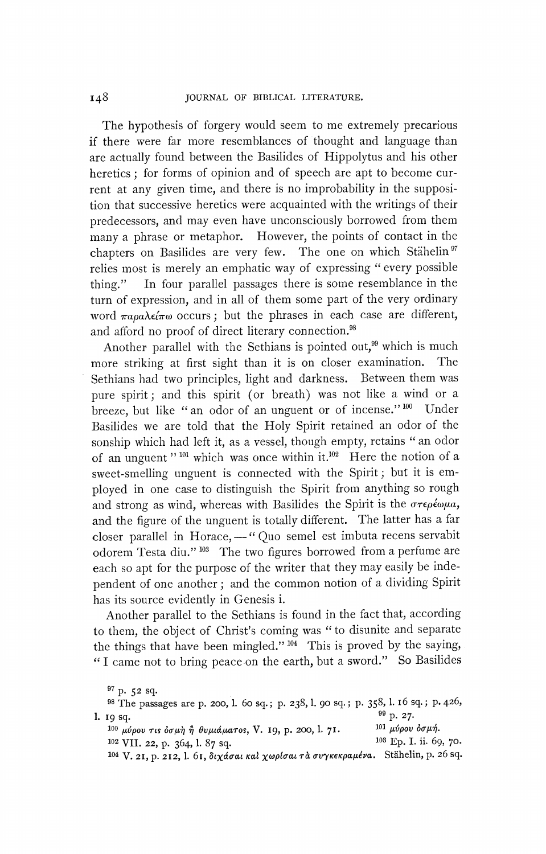**The hypothesis of forgery would seem to me extremely precarious if there were far more resemblances of thought and language than are actually found between the Basilides of Hippolytus and his other heretics; for forms of opinion and of speech are apt to become current at any given time, and there is no improbability in the supposition that successive heretics were acquainted with the writings of their predecessors, and may even have unconsciously borrowed from them many a phrase or metaphor. However, the points of contact in the**  chapters on Basilides are very few. The one on which Stähelin<sup>97</sup> **relies most is merely an emphatic way of expressing "every possible thing." In four parallel passages there is some resemblance in the turn of expression, and in all of them some part of the very ordinary**  word  $\pi a \rho a \lambda \epsilon \acute{i} \pi \omega$  occurs; but the phrases in each case are different, **and afford no proof of direct literary connection.98** 

Another parallel with the Sethians is pointed out,<sup>99</sup> which is much ore striking at first sight than it is on closer examination. The more striking at first sight than it is on closer examination. **Sethians had two principles, light and darkness. Between them was pure spirit; and this spirit (or breath) was not like a wind or a**  breeze, but like "an odor of an unguent or of incense."<sup>100</sup> Under **Basilides we are told that the Holy Spirit retained an odor of the sonship which had left it, as a vessel, though empty, retains " an odor of an unguent "101 which was once within it.102 Here the notion of a sweet-smelling unguent is connected with the Spirit; but it is employed in one case to distinguish the Spirit from anything so rough**  and strong as wind, whereas with Basilides the Spirit is the  $\sigma\tau\epsilon\rho\epsilon\omega\mu a$ , **and the figure of the unguent is totally different. The latter has a far**  closer parallel in Horace, - " Quo semel est imbuta recens servabit **odorem Testa diu." 103 The two figures borrowed from a perfume are each so apt for the purpose of the writer that they may easily be independent of one another; and the common notion of a dividing Spirit has its source evidently in Genesis i.** 

**Another parallel to the Sethians is found in the fact that, according to them, the object of Christ's coming was "to disunite and separate the things that have been mingled." 104 This is proved by the saying, "I came not to bring peace on the earth, but a sword." So Basilides** 

| $97$ p. 52 sq.                                                                                  |                          |
|-------------------------------------------------------------------------------------------------|--------------------------|
| <sup>98</sup> The passages are p. 200, l. 60 sq.; p. 238, l. 90 sq.; p. 358, l. 16 sq.; p. 426, |                          |
| l. 19 sq.                                                                                       | $99$ p. 27.              |
| $100 \mu\psi$ ρου τις όσμη η θυμιάματος, V. 19, p. 200, l. 71.                                  | $101$ μύρου όσμή.        |
| $102$ VII. 22, p. 364, l. 87 sq.                                                                | $108$ Ep. I. ii. 69, 70. |
| <sup>104</sup> V. 21, p. 212, l. 61, διχάσαι και χωρίσαι τα συγκεκραμένα. Stähelin, p. 26 sq.   |                          |

**148**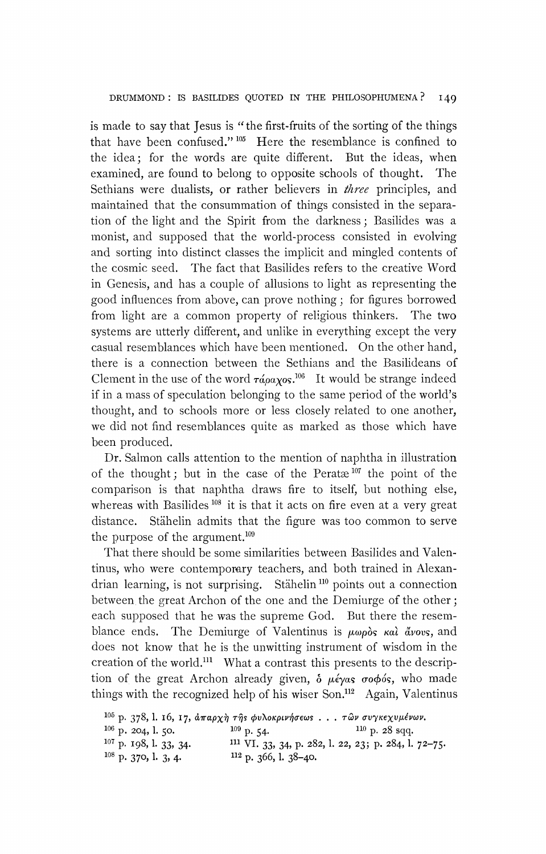**is made to say that Jesus is "the first-fruits of the sorting of the things that have been confused." 5 Here the resemblance is confined to the idea; for the words are quite different. But the ideas, when examined, are found to belong to opposite schools of thought. The Sethians were dualists, or rather believers in three principles, and maintained that the consummation of things consisted in the separation of the light and the Spirit from the darkness; Basilides was a monist, and supposed that the world-process consisted in evolving and sorting into distinct classes the implicit and mingled contents of the cosmic seed. The fact that Basilides refers to the creative Word in Genesis, and has a couple of allusions to light as representing the good influences from above, can prove nothing; for figures borrowed from light are a common property of religious thinkers. The two systems are utterly different, and unlike in everything except the very casual resemblances which have been mentioned. On the other hand, there is a connection between the Sethians and the Basilideans of**  Clement in the use of the word  $\tau \acute{\alpha} \rho \alpha \chi$ os.<sup>106</sup> It would be strange indeed **if in a mass of speculation belonging to the same period of the world's thought, and to schools more or less closely related to one another, we did not find resemblances quite as marked as those which have been produced.** 

**Dr. Salmon calls attention to the mention of naphtha in illustration**  of the thought; but in the case of the Peratae<sup>107</sup> the point of the **comparison is that naphtha draws fire to itself, but nothing else, whereas with Basilides 108 it is that it acts on fire even at a very great distance. Stahelin admits that the figure was too common to serve**  the purpose of the argument.<sup>109</sup>

**That there should be some similarities between Basilides and Valentinus, who were contemporary teachers, and both trained in Alexan**drian learning, is not surprising. Stähelin<sup>110</sup> points out a connection **between the great Archon of the one and the Demiurge of the other; each supposed that he was the supreme God. But there the resemblance ends.** The Demiurge of Valentinus is  $\mu \omega \rho \delta s$   $\kappa a \delta \phi \delta v s$ , and **does not know that he is the unwitting instrument of wisdom in the creation of the world."' What a contrast this presents to the description of the great Archon already given, δ μέγας σοφός, who made things with the recognized help of his wiser Son."' Again, Valentinus** 

|  |                          |  |                         | $105$ p. 378, l. 16, 17, άπαρχή της φυλοκρινήσεως των συγκεχυμένων. |
|--|--------------------------|--|-------------------------|---------------------------------------------------------------------|
|  | $106$ p. 204, l. 50.     |  | $109$ p. 54.            | $110$ p. 28 sqq.                                                    |
|  | $107$ p. 198, l. 33, 34. |  |                         | <sup>111</sup> VI. 33, 34, p. 282, l. 22, 23; p. 284, l. 72-75.     |
|  | $108$ p. 370, l. 3, 4.   |  | $112$ p. 366, l. 38–40. |                                                                     |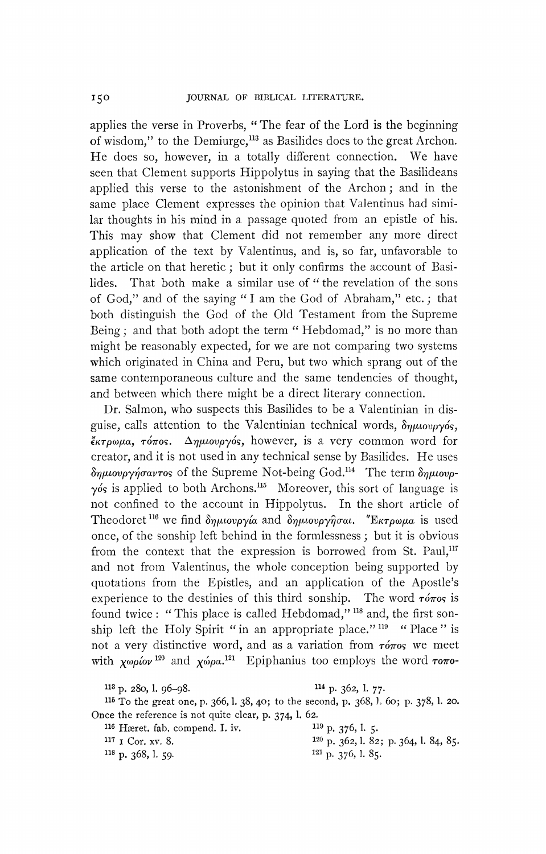**applies the verse in Proverbs, " The fear of the Lord is the beginning of wisdom," to the Demiurge,113 as Basilides does to the great Archon. He does so, however, in a totally different connection. We have seen that Clement supports Hippolytus in saying that the Basilideans applied this verse to the astonishment of the Archon; and in the same place Clement expresses the opinion that Valentinus had similar thoughts in his mind in a passage quoted from an epistle of his. This may show that Clement did not remember any more direct application of the text by Valentinus, and is, so far, unfavorable to the article on that heretic; but it only confirms the account of Basilides. That both make a similar use of " the revelation of the sons of God," and of the saying "I am the God of Abraham," etc.; that both distinguish the God of the Old Testament from the Supreme Being; and that both adopt the term " Hebdomad," is no more than might be reasonably expected, for we are not comparing two systems which originated in China and Peru, but two which sprang out of the same contemporaneous culture and the same tendencies of thought, and between which there might be a direct literary connection.** 

**Dr. Salmon, who suspects this Basilides to be a Valentinian in dis**guise, calls attention to the Valentinian technical words,  $\delta$ *nuovovos*.  $\epsilon$ <sub>Kτρωμα</sub>, *τόπος.* Δημιουργός, however, is a very common word for **creator, and it is not used in any technical sense by Basilides. He uses**   $\delta$ *ημιουργήσαντος* of the Supreme Not-being God.<sup>114</sup> The term δημιουρ**yos is applied to both Archons.l15 Moreover, this sort of language is not confined to the account in Hippolytus. In the short article of Theodoret** <sup>116</sup> we find  $\delta \eta \mu \omega \nu \rho \gamma \hat{\mu}$  and  $\delta \eta \mu \omega \nu \rho \gamma \hat{\eta} \sigma \alpha \lambda$ . "E<sub>KT</sub>  $\omega \mu \alpha$  is used **once, of the sonship left behind in the formlessness; but it is obvious**  from the context that the expression is borrowed from St. Paul,<sup>117</sup> **and not from Valentinus, the whole conception being supported by quotations from the Epistles, and an application of the Apostle's**  experience to the destinies of this third sonship. The word  $\tau$ *o* $\tau$ *os* is **found twice: "This place is called Hebdomad," 118 and, the first son**ship left the Holy Spirit "in an appropriate place."<sup>119</sup> "Place" is not a very distinctive word, and as a variation from  $\tau$ *o* $\tau$ *os* we meet with  $\chi \omega \rho \omega'$ <sup>120</sup> and  $\chi \omega \rho a$ <sup>121</sup> Epiphanius too employs the word  $\tau \omega$ -

**<sup>113</sup>p. 280, 1. 96-98. 114 p. 362, 1. 77. 115 To the great one, p. 366,1. 38, 40; to the second, p. 368, L. 60; p. 378, 1. 20. Once the reference is not quite clear, p. 374, 1. 62.** 

| <sup>116</sup> Hæret. fab. compend. I. iv. | $119$ p. 376, l. 5.                     |
|--------------------------------------------|-----------------------------------------|
| $117$ I Cor. xv. 8.                        | $120$ p. 362, l. 82; p. 364, l. 84, 85. |
| $118$ p. 368, l. 59.                       | $121$ p. 376, l. 85.                    |

**I5O**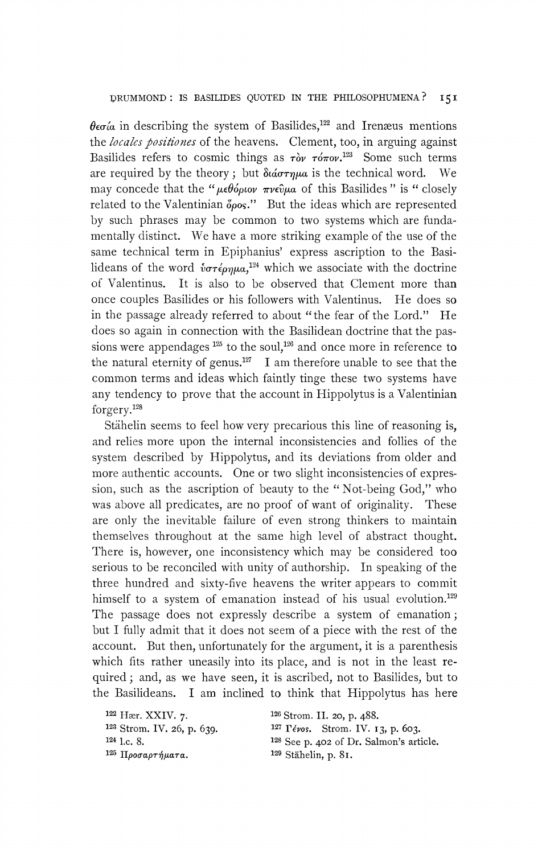$\theta \infty$  in describing the system of Basilides,<sup>122</sup> and Irenæus mentions **the locales positiones of the heavens. Clement, too, in arguing against**  Basilides refers to cosmic things as  $\tau \delta v \tau \delta \tau \delta v$ .<sup>123</sup> Some such terms are required by the theory; but  $\delta u \dot{\alpha} \dot{\sigma} \eta \mu \dot{\alpha}$  is the technical word. We may concede that the " $\mu \in \theta$  *b* $\mu$ *v* $\infty$  *n* $\nu \in \theta$  *pa of this Basilides*" is " *closely* related to the Valentinian  $\delta\rho$ os." But the ideas which are represented **by such phrases may be common to two systems which are fundamentally distinct. We have a more striking example of the use of the same technical term in Epiphanius' express ascription to the Basi**lideans of the word  $\hat{v} \sigma \tau \epsilon \rho \eta \mu a$ ,<sup>124</sup> which we associate with the doctrine **of Valentinus. It is also to be observed that Clement more than once couples Basilides or his followers with Valentinus. He does so in the passage already referred to about "the fear of the Lord." He does so again in connection with the Basilidean doctrine that the pas**sions were appendages<sup>125</sup> to the soul,<sup>126</sup> and once more in reference to **the natural eternity of genus.17 I am therefore unable to see that the common terms and ideas which faintly tinge these two systems have any tendency to prove that the account in Hippolytus is a Valentinian forgery.l28** 

**Stahelin seems to feel how very precarious this line of reasoning is, and relies more upon the internal inconsistencies and follies of the system described by Hippolytus, and its deviations from older and more authentic accounts. One or two slight inconsistencies of expression, such as the ascription of beauty to the " Not-being God," who was above all predicates, are no proof of want of originality. These are only the inevitable failure of even strong thinkers to maintain themselves throughout at the same high level of abstract thought. There is, however, one inconsistency which may be considered too serious to be reconciled with unity of authorship. In speaking of the three hundred and sixty-five heavens the writer appears to commit himself to a system of emanation instead of his usual evolution.29 The passage does not expressly describe a system of emanation; but I fully admit that it does not seem of a piece with the rest of the account. But then, unfortunately for the argument, it is a parenthesis which fits rather uneasily into its place, and is not in the least required; and, as we have seen, it is ascribed, not to Basilides, but to the Basilideans. I am inclined to think that Hippolytus has here** 

**122** Hær. XXIV. 7. **126** Strom. II. 20, p. 488.<br> **123** Strom. IV. 26, p. 639. **127**  $\Gamma \neq \text{pos.}$  Strom. IV. I <sup>125</sup> Προσαρτήματα.

<sup>123</sup> Strom. IV. 26, p. 639. <sup>127</sup>  $\Gamma \epsilon$ *pos.* Strom. IV. 13, p. 603. <sup>124</sup> 1.c. 8. <sup>128</sup> See p. 402 of Dr. Salmon's arti 128 See p. 402 of Dr. Salmon's article.<br><sup>129</sup> Stähelin, p. 81.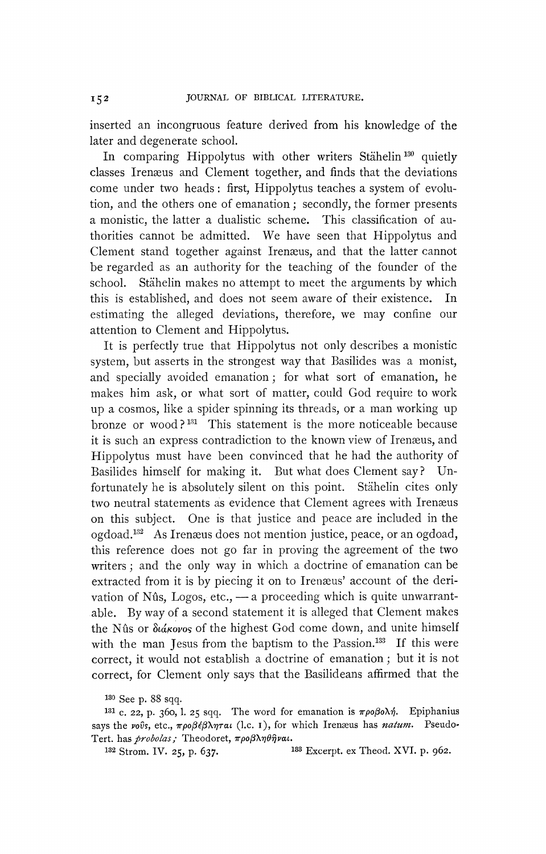**inserted an incongruous feature derived from his knowledge of the later and degenerate school.** 

In comparing Hippolytus with other writers Stähelin<sup>130</sup> quietly **classes Irenseus and Clement together, and finds that the deviations come under two heads: first, Hippolytus teaches a system of evolution, and the others one of emanation; secondly, the former presents a monistic, the latter a dualistic scheme. This classification of authorities cannot be admitted. We have seen that Hippolytus and**  Clement stand together against Irenæus, and that the latter cannot **be regarded as an authority for the teaching of the founder of the school. Stahelin makes no attempt to meet the arguments by which this is established, and does not seem aware of their existence. In estimating the alleged deviations, therefore, we may confine our attention to Clement and Hippolytus.** 

**It is perfectly true that Hippolytus not only describes a monistic system, but asserts in the strongest way that Basilides was a monist, and specially avoided emanation; for what sort of emanation, he makes him ask, or what sort of matter, could God require to work up a cosmos, like a spider spinning its threads, or a man working up bronze or wood? 131 This statement is the more noticeable because it is such an express contradiction to the known view of Irenaeus, and Hippolytus must have been convinced that he had the authority of Basilides himself for making it. But what does Clement say? Unfortunately he is absolutely silent on this point. Stahelin cites only**  two neutral statements as evidence that Clement agrees with Irenæus **on this subject. One is that justice and peace are included in the ogdoad.132 As Irenaeus does not mention justice, peace, or an ogdoad, this reference does not go far in proving the agreement of the two writers; and the only way in which a doctrine of emanation can be**  extracted from it is by piecing it on to Irenæus' account of the derivation of Nûs, Logos, etc., - a proceeding which is quite unwarrant**able. By way of a second statement it is alleged that Clement makes**  the Nûs or διάκονος of the highest God come down, and unite himself with the man Jesus from the baptism to the Passion.<sup>133</sup> If this were **correct, it would not establish a doctrine of emanation; but it is not correct, for Clement only says that the Basilideans affirmed that the** 

**I52** 

**<sup>130</sup> See p. 88 sqq.** 

<sup>&</sup>lt;sup>181</sup> c. 22, p. 360, l. 25 sqq. The word for emanation is  $\pi \rho \rho \beta o \lambda \dot{\eta}$ . Epiphanius says the vous, etc.,  $\pi \rho \circ \beta \notin \beta \lambda \eta \tau a \iota$  (l.c. I), for which Irenaeus has *natum*. Pseudo-Tert. has *probolas*; Theodoret, προβληθήναι.<br><sup>132</sup> Strom. IV. 25, p. 637.

**<sup>132</sup>Strom. IV. 25, p. 637. 133 Excerpt. ex Theod. XVI. p. 962.**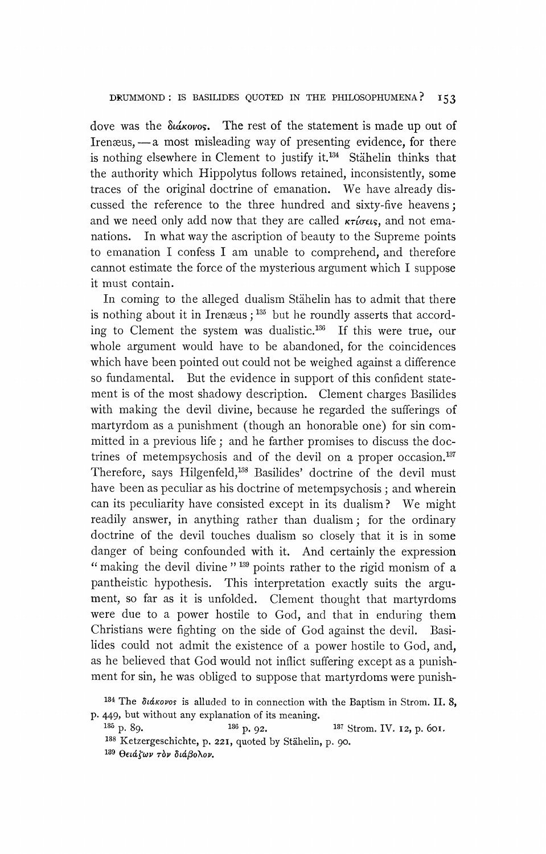dove was the  $\delta$ *idkovos*. The rest of the statement is made up out of **Irenaeus, -a most misleading way of presenting evidence, for there**  is nothing elsewhere in Clement to justify it.<sup>134</sup> Stähelin thinks that **the authority which Hippolytus follows retained, inconsistently, some traces of the original doctrine of emanation. We have already discussed the reference to the three hundred and sixty-five heavens;**  and we need only add now that they are called  $\kappa \tau$ *ious*, and not ema**nations. In what way the ascription of beauty to the Supreme points to emanation I confess I am unable to comprehend, and therefore cannot estimate the force of the mysterious argument which I suppose it must contain.** 

**In coming to the alleged dualism Stahelin has to admit that there**  is nothing about it in Irenæus;<sup>135</sup> but he roundly asserts that according to Clement the system was dualistic.<sup>136</sup> If this were true, our **whole argument would have to be abandoned, for the coincidences which have been pointed out could not be weighed against a difference so fundamental. But the evidence in support of this confident statement is of the most shadowy description. Clement charges Basilides with making the devil divine, because he regarded the sufferings of martyrdom as a punishment (though an honorable one) for sin committed in a previous life; and he farther promises to discuss the doc**trines of metempsychosis and of the devil on a proper occasion.<sup>137</sup> **Therefore, says Hilgenfeld,"38 Basilides' doctrine of the devil must have been as peculiar as his doctrine of metempsychosis; and wherein can its peculiarity have consisted except in its dualism? We might readily answer, in anything rather than dualism; for the ordinary doctrine of the devil touches dualism so closely that it is in some danger of being confounded with it. And certainly the expression " making the devil divine "139 points rather to the rigid monism of a pantheistic hypothesis. This interpretation exactly suits the argument, so far as it is unfolded. Clement thought that martyrdoms were due to a power hostile to God, and that in enduring them Christians were fighting on the side of God against the devil. Basilides could not admit the existence of a power hostile to God, and, as he believed that God would not inflict suffering except as a punishment for sin, he was obliged to suppose that martyrdoms were punish-**

<sup>&</sup>lt;sup>184</sup> The  $\delta$ *idkovos* is alluded to in connection with the Baptism in Strom. II. 8, **p. 449, but without any explanation of its meaning.** 

**<sup>137</sup>** Strom. **IV. 12, p. 601. <sup>138</sup>Ketzergeschichte, p. 221, quoted by Stahelin, p. go.** 

<sup>&</sup>lt;sup>189</sup> θειάζων τον διάβολον.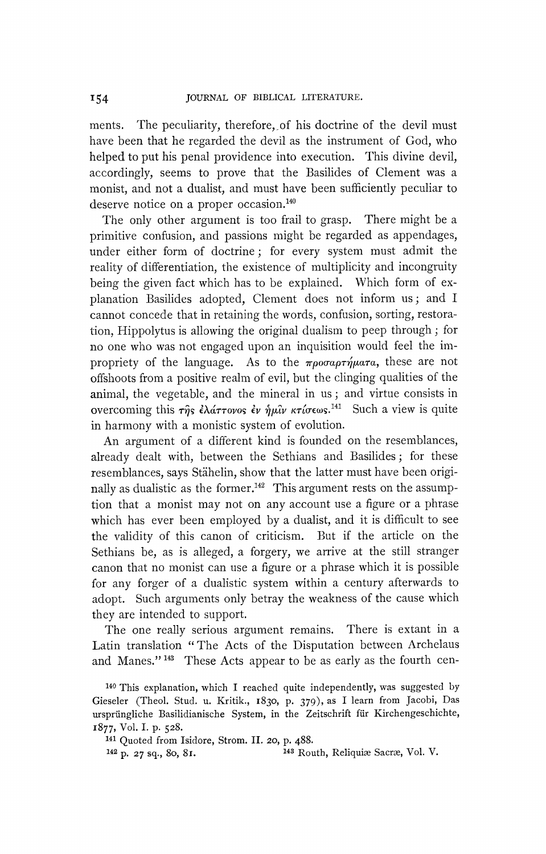**ments. The peculiarity, therefore, of his doctrine of the devil must have been that he regarded the devil as the instrument of God, who helped to put his penal providence into execution. This divine devil, accordingly, seems to prove that the Basilides of Clement was a monist, and not a dualist, and must have been sufficiently peculiar to deserve notice on a proper occasion.140** 

**The only other argument is too frail to grasp. There might be a primitive confusion, and passions might be regarded as appendages, under either form of doctrine; for every system must admit the reality of differentiation, the existence of multiplicity and incongruity being the given fact which has to be explained. Which form of explanation Basilides adopted, Clement does not inform us; and I cannot concede that in retaining the words, confusion, sorting, restoration, Hippolytus is allowing the original dualism to peep through; for no one who was not engaged upon an inquisition would feel the im**propriety of the language. As to the  $\pi \rho \sigma \alpha \rho \tau \gamma \mu \alpha \tau \alpha$ , these are not **offshoots from a positive realm of evil, but the clinging qualities of the animal, the vegetable, and the mineral in us; and virtue consists in overcoming this**  $\tau \hat{\eta}$ **s**  $\epsilon \lambda \hat{\alpha} \tau \tau \hat{\sigma}$  $\epsilon \nu \hat{\eta} \mu \hat{\mu} \nu \kappa \tau \hat{\alpha} \epsilon \omega$ **s.<sup>141</sup> Such a view is quite in harmony with a monistic system of evolution.** 

**An argument of a different kind is founded on the resemblances, already dealt with, between the Sethians and Basilides; for these resemblances, says Stahelin, show that the latter must have been origi**nally as dualistic as the former.<sup>142</sup> This argument rests on the assump**tion that a monist may not on any account use a figure or a phrase which has ever been employed by a dualist, and it is difficult to see the validity of this canon of criticism. But if the article on the Sethians be, as is alleged, a forgery, we arrive at the still stranger canon that no monist can use a figure or a phrase which it is possible for any forger of a dualistic system within a century afterwards to adopt. Such arguments only betray the weakness of the cause which they are intended to support.** 

**The one really serious argument remains. There is extant in a Latin translation "The Acts of the Disputation between Archelaus and Manes." 143 These Acts appear to be as early as the fourth cen-**

**<sup>140</sup>This explanation, which I reached quite independently, was suggested by Gieseler (Theol. Stud. u. Kritik., I830, p. 379), as I learn from Jacobi, Das urspriingliche Basilidianische System, in the Zeitschrift fur Kirchengeschichte, 1877, Vol. I. p. 528.** 

**141 Quoted from Isidore, Strom. II. 20, p. 488.** 

**<sup>142</sup>p. 27 sq., 80, 8I. <sup>143</sup>Routh, Reliquiae Sacrae, Vol. V.** 

**I54**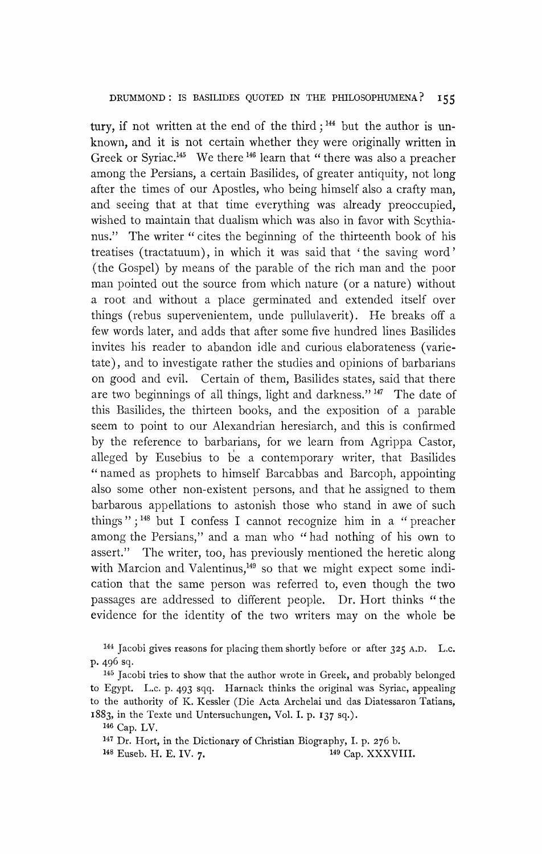tury, if not written at the end of the third; <sup>144</sup> but the author is un**known, and it is not certain whether they were originally written in Greek or Syriac.l45 We there 146 learn that " there was also a preacher among the Persians, a certain Basilides, of greater antiquity, not long after the times of our Apostles, who being himself also a crafty man, and seeing that at that time everything was already preoccupied, wished to maintain that dualism which was also in favor with Scythianus." The writer " cites the beginning of the thirteenth book of his treatises (tractatuum), in which it was said that 'the saving word' (the Gospel) by means of the parable of the rich man and the poor man pointed out the source from which nature (or a nature) without a root and without a place germinated and extended itself over things (rebus supervenientem, unde pullulaverit). He breaks off a few words later, and adds that after some five hundred lines Basilides invites his reader to abandon idle and curious elaborateness (varietate), and to investigate rather the studies and opinions of barbarians on good and evil. Certain of them, Basilides states, said that there are two beginnings of all things, light and darkness."147 The date of this Basilides, the thirteen books, and the exposition of a parable seem to point to our Alexandrian heresiarch, and this is confirmed by the reference to barbarians, for we learn from Agrippa Castor, alleged by Eusebius to be a contemporary writer, that Basilides " named as prophets to himself Barcabbas and Barcoph, appointing also some other non-existent persons, and that he assigned to them barbarous appellations to astonish those who stand in awe of such things ";148 but I confess I cannot recognize him in a "preacher among the Persians," and a man who "had nothing of his own to assert." The writer, too, has previously mentioned the heretic along**  with Marcion and Valentinus,<sup>149</sup> so that we might expect some indi**cation that the same person was referred to, even though the two passages are addressed to different people. Dr. Hort thinks "the evidence for the identity of the two writers may on the whole be** 

**147 Dr. Hort, in the Dictionary of Christian Biography, I. p. 276 b.** 

**<sup>144</sup> Jacobi gives reasons for placing them shortly before or after 325 A.D. L.c. p. 496 sq.** 

**<sup>145</sup>Jacobi tries to show that the author wrote in Greek, and probably belonged to Egypt. L.c. p. 493 sqq. Harnack thinks the original was Syriac, appealing to the authority of K. Kessler (Die Acta Archelai und das Diatessaron Tatians, 1883, in the Texte und Untersuchungen, Vol. I. p. 137 sq.).** 

**<sup>146</sup>Cap. LV.** 

**<sup>148</sup>** Euseb. H. E. IV. 7.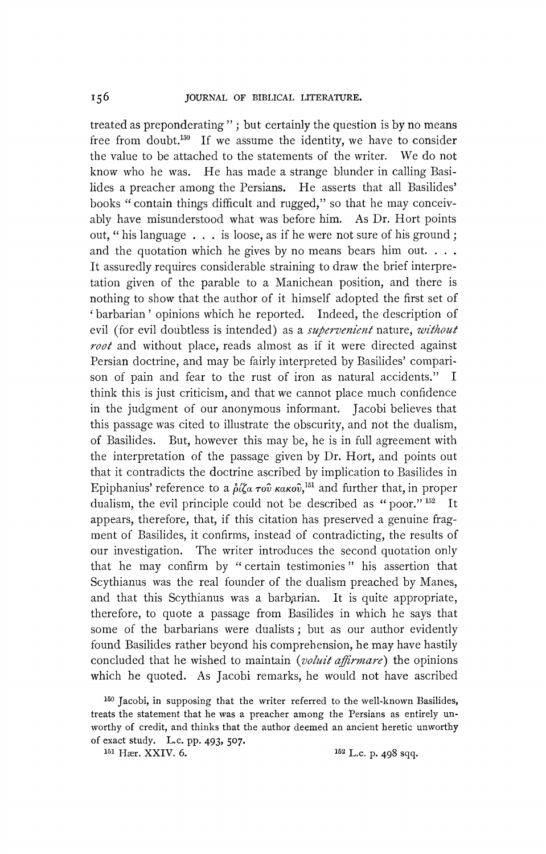**treated as preponderating "; but certainly the question is by no means free from doubt.150 If we assume the identity, we have to consider the value to be attached to the statements of the writer. We do not know who he was. He has made a strange blunder in calling Basilides a preacher among the Persians. He asserts that all Basilides' books " contain things difficult and rugged," so that he may conceivably have misunderstood what was before him. As Dr. Hort points out, "his language . . . is loose, as if he were not sure of his ground; and the quotation which he gives by no means bears him out .... It assuredly requires considerable straining to draw the brief interpretation given of the parable to a Manichean position, and there is nothing to show that the author of it himself adopted the first set of 'barbarian' opinions which he reported. Indeed, the description of evil (for evil doubtless is intended) as a supervenient nature, without root and without place, reads almost as if it were directed against Persian doctrine, and may be fairly interpreted by Basilides' comparison of pain and fear to the rust of iron as natural accidents." I think this is just criticism, and that we cannot place much confidence in the judgment of our anonymous informant. Jacobi believes that this passage was cited to illustrate the obscurity, and not the dualism, of Basilides. But, however this may be, he is in full agreement with the interpretation of the passage given by Dr. Hort, and points out that it contradicts the doctrine ascribed by implication to Basilides in**  Epiphanius' reference to a  $\hat{p}(\zeta_a \tau \hat{\omega} \kappa \kappa \hat{\omega})$ ,<sup>151</sup> and further that, in proper **dualism, the evil principle could not be described as " poor." 52 It appears, therefore, that, if this citation has preserved a genuine fragment of Basilides, it confirms, instead of contradicting, the results of our investigation. The writer introduces the second quotation only that he may confirm by "certain testimonies" his assertion that Scythianus was the real founder of the dualism preached by Manes, and that this Scythianus was a barbarian. It is quite appropriate, therefore, to quote a passage from Basilides in which he says that some of the barbarians were dualists; but as our author evidently found Basilides rather beyond his comprehension, he may have hastily**  concluded that he wished to maintain (voluit affirmare) the opinions **which he quoted. As Jacobi remarks, he would not have ascribed** 

<sup>152</sup> L.c. p. 498 sqq.

**<sup>150</sup> Jacobi, in supposing that the writer referred to the well-known Basilides, treats the statement that he was a preacher among the Persians as entirely unworthy of credit, and thinks that the author deemed an ancient heretic unworthy of exact study. L.c. pp. 493, 507.**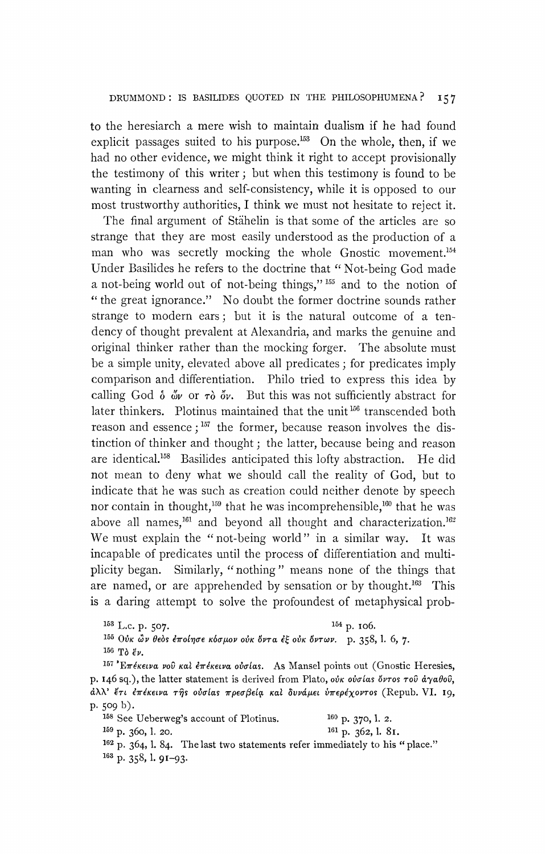**to the heresiarch a mere wish to maintain dualism if he had found**  explicit passages suited to his purpose.<sup>153</sup> On the whole, then, if we **had no other evidence, we might think it right to accept provisionally the testimony of this writer; but when this testimony is found to be wanting in clearness and self-consistency, while it is opposed to our most trustworthy authorities, I think we must not hesitate to reject it.** 

**The final argument of Stahelin is that some of the articles are so strange that they are most easily understood as the production of a**  man who was secretly mocking the whole Gnostic movement.<sup>154</sup> **Under Basilides he refers to the doctrine that "Not-being God made a not-being world out of not-being things," <sup>55</sup>and to the notion of " the great ignorance." No doubt the former doctrine sounds rather strange to modern ears; but it is the natural outcome of a tendency of thought prevalent at Alexandria, and marks the genuine and original thinker rather than the mocking forger. The absolute must be a simple unity, elevated above all predicates; for predicates imply comparison and differentiation. Philo tried to express this idea by**  calling God  $\delta \phi$  or  $\tau \delta \phi$ . But this was not sufficiently abstract for later thinkers. Plotinus maintained that the unit<sup>156</sup> transcended both **reason and essence; 157 the former, because reason involves the distinction of thinker and thought; the latter, because being and reason are identical.1'8 Basilides anticipated this lofty abstraction. He did not mean to deny what we should call the reality of God, but to indicate that he was such as creation could neither denote by speech**  nor contain in thought,<sup>159</sup> that he was incomprehensible,<sup>160</sup> that he was above all names,<sup>161</sup> and beyond all thought and characterization.<sup>162</sup> **We must explain the "not-being world" in a similar way. It was incapable of predicates until the process of differentiation and multiplicity began. Similarly, "nothing" means none of the things that**  are named, or are apprehended by sensation or by thought.<sup>163</sup> This **is a daring attempt to solve the profoundest of metaphysical prob-**

**153 L.c. p. 507. 154 p. I06. 155 O6K ci' 0O6s e7 ro,Cfe6 K6oov OV oK 6vra et o0K 6VTWV. p. 358, 1. 6, 7.**  156 Τ**δ** έν.

<sup>157</sup> 'Επέκεινα νοῦ καλ ἐπέκεινα οὐσίαs. As Mansel points out (Gnostic Heresies, **p. 146 sq.), the latter statement is derived from Plato,**  $o$ **ύκ**  $o$ **ύσίαs ὄντοs τοῦ ἀγαθοῦ, caXX' e'TL c7rgKELCa r7S o7l0as rIpeoPgeja Kal aUvvayCeL VirepxovTOS (Repub. VI. I9, p. 509 b).** 

| 158 See Ueberweg's account of Plotinus.                                                 | $160$ p. 370, l. 2.  |
|-----------------------------------------------------------------------------------------|----------------------|
| $159$ p. 360, l. 20.                                                                    | $161$ p. 362, l. 81. |
| <sup>162</sup> p. 364, l. 84. The last two statements refer immediately to his "place." |                      |
| $163$ p. 358, l. 91-93.                                                                 |                      |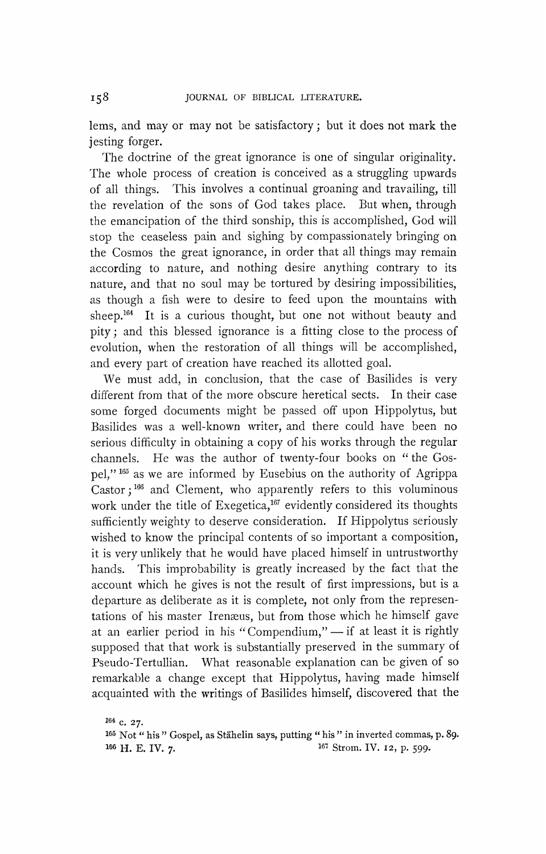**lems, and may or may not be satisfactory; but it does not mark the jesting forger.** 

**The doctrine of the great ignorance is one of singular originality. The whole process of creation is conceived as a struggling upwards of all things. This involves a continual groaning and travailing, till the revelation of the sons of God takes place. But when, through the emancipation of the third sonship, this is accomplished, God will stop the ceaseless pain and sighing by compassionately bringing on the Cosmos the great ignorance, in order that all things may remain according to nature, and nothing desire anything contrary to its nature, and that no soul may be tortured by desiring impossibilities, as though a fish were to desire to feed upon the mountains with**  sheep.<sup>164</sup> It is a curious thought, but one not without beauty and **pity; and this blessed ignorance is a fitting close to the process of evolution, when the restoration of all things will be accomplished, and every part of creation have reached its allotted goal.** 

**We must add, in conclusion, that the case of Basilides is very different from that of the more obscure heretical sects. In their case some forged documents might be passed off upon Hippolytus, but Basilides was a well-known writer, and there could have been no serious difficulty in obtaining a copy of his works through the regular channels. He was the author of twenty-four books on "the Gospel," <sup>165</sup>as we are informed by Eusebius on the authority of Agrippa Castor; 66 and Clement, who apparently refers to this voluminous**  work under the title of Exegetica,<sup>167</sup> evidently considered its thoughts **sufficiently weighty to deserve consideration. If Hippolytus seriously wished to know the principal contents of so important a composition, it is very unlikely that he would have placed himself in untrustworthy hands. This improbability is greatly increased by the fact that the account which he gives is not the result of first impressions, but is a departure as deliberate as it is complete, not only from the represen**tations of his master Irenæus, but from those which he himself gave at an earlier period in his "Compendium," — if at least it is rightly **supposed that that work is substantially preserved in the summary of Pseudo-Tertullian. What reasonable explanation can be given of so remarkable a change except that Hippolytus, having made himself acquainted with the writings of Basilides himself, discovered that the** 

 $158$ 

**<sup>164</sup> c. 27.**  <sup>165</sup> Not " his " Gospel, as Stähelin says, putting " his " in inverted commas, p. 89.<br><sup>165</sup> H. E. IV. 7.<br><sup>167</sup> Strom. IV. 12, p. 599. **166 H. E. IV. 7. 167 Strom. IV. 12, p. 599.**